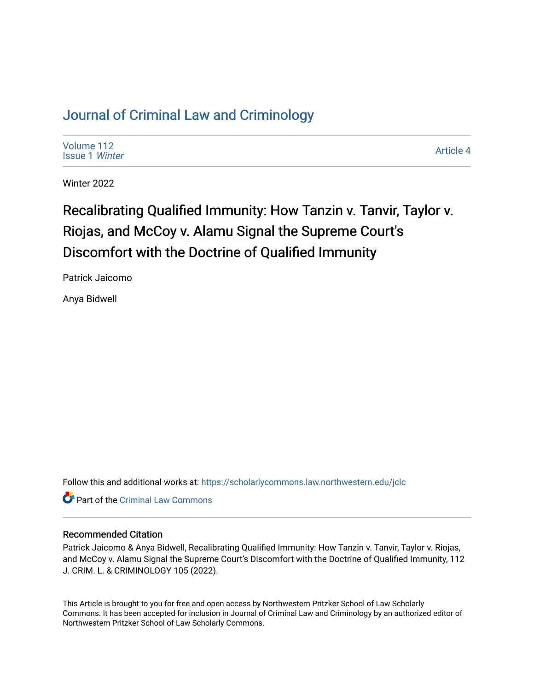# [Journal of Criminal Law and Criminology](https://scholarlycommons.law.northwestern.edu/jclc)

[Volume 112](https://scholarlycommons.law.northwestern.edu/jclc/vol112) [Issue 1](https://scholarlycommons.law.northwestern.edu/jclc/vol112/iss1) Winter

[Article 4](https://scholarlycommons.law.northwestern.edu/jclc/vol112/iss1/4) 

Winter 2022

# Recalibrating Qualified Immunity: How Tanzin v. Tanvir, Taylor v. Riojas, and McCoy v. Alamu Signal the Supreme Court's Discomfort with the Doctrine of Qualified Immunity

Patrick Jaicomo

Anya Bidwell

Follow this and additional works at: [https://scholarlycommons.law.northwestern.edu/jclc](https://scholarlycommons.law.northwestern.edu/jclc?utm_source=scholarlycommons.law.northwestern.edu%2Fjclc%2Fvol112%2Fiss1%2F4&utm_medium=PDF&utm_campaign=PDFCoverPages) 

**C** Part of the Criminal Law Commons

#### Recommended Citation

Patrick Jaicomo & Anya Bidwell, Recalibrating Qualified Immunity: How Tanzin v. Tanvir, Taylor v. Riojas, and McCoy v. Alamu Signal the Supreme Court's Discomfort with the Doctrine of Qualified Immunity, 112 J. CRIM. L. & CRIMINOLOGY 105 (2022).

This Article is brought to you for free and open access by Northwestern Pritzker School of Law Scholarly Commons. It has been accepted for inclusion in Journal of Criminal Law and Criminology by an authorized editor of Northwestern Pritzker School of Law Scholarly Commons.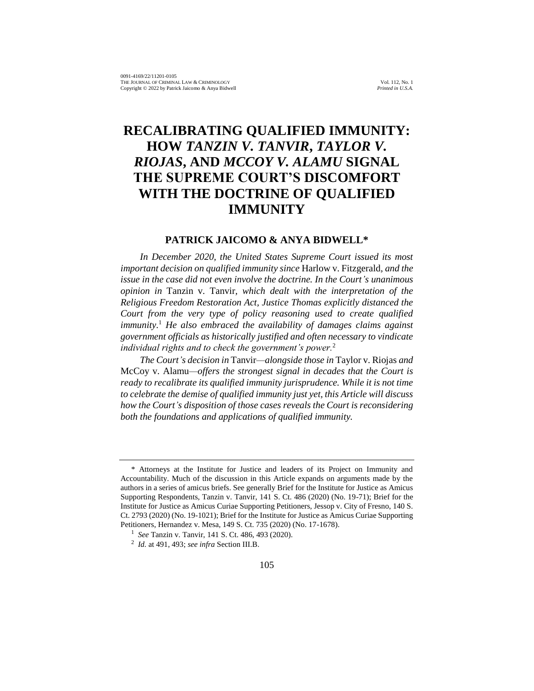# **RECALIBRATING QUALIFIED IMMUNITY: HOW** *TANZIN V. TANVIR***,** *TAYLOR V. RIOJAS***, AND** *MCCOY V. ALAMU* **SIGNAL THE SUPREME COURT'S DISCOMFORT WITH THE DOCTRINE OF QUALIFIED IMMUNITY**

#### **PATRICK JAICOMO & ANYA BIDWELL\***

*In December 2020, the United States Supreme Court issued its most important decision on qualified immunity since* Harlow v. Fitzgerald*, and the issue in the case did not even involve the doctrine. In the Court's unanimous opinion in* Tanzin v. Tanvir*, which dealt with the interpretation of the Religious Freedom Restoration Act, Justice Thomas explicitly distanced the Court from the very type of policy reasoning used to create qualified immunity.*<sup>1</sup> *He also embraced the availability of damages claims against government officials as historically justified and often necessary to vindicate individual rights and to check the government's power.*<sup>2</sup>

*The Court's decision in* Tanvir*—alongside those in* Taylor v. Riojas *and*  McCoy v. Alamu*—offers the strongest signal in decades that the Court is*  ready to recalibrate its qualified immunity jurisprudence. While it is not time *to celebrate the demise of qualified immunity just yet, this Article will discuss how the Court's disposition of those cases reveals the Court is reconsidering both the foundations and applications of qualified immunity.*

<sup>\*</sup> Attorneys at the Institute for Justice and leaders of its Project on Immunity and Accountability. Much of the discussion in this Article expands on arguments made by the authors in a series of amicus briefs. See generally Brief for the Institute for Justice as Amicus Supporting Respondents, Tanzin v. Tanvir, 141 S. Ct. 486 (2020) (No. 19-71); Brief for the Institute for Justice as Amicus Curiae Supporting Petitioners, Jessop v. City of Fresno, 140 S. Ct. 2793 (2020) (No. 19-1021); Brief for the Institute for Justice as Amicus Curiae Supporting Petitioners, Hernandez v. Mesa, 149 S. Ct. 735 (2020) (No. 17-1678).

<sup>1</sup> *See* Tanzin v. Tanvir, 141 S. Ct. 486, 493 (2020).

<sup>2</sup> *Id.* at 491, 493; *see infra* Section III.B.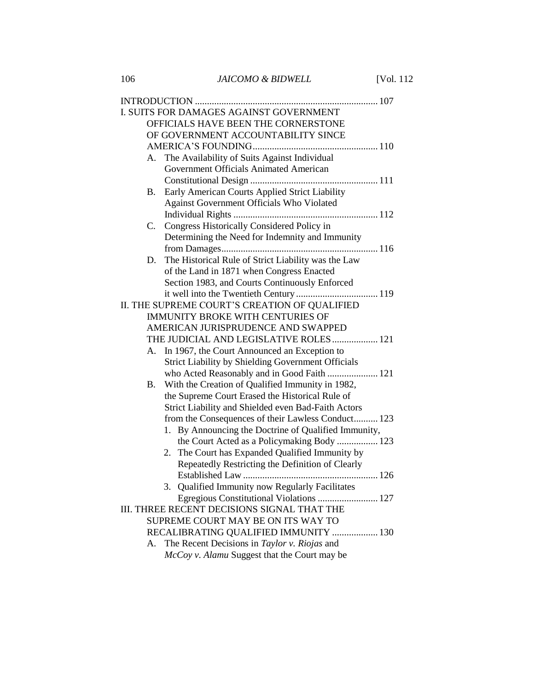|                                    | I. SUITS FOR DAMAGES AGAINST GOVERNMENT                   |  |  |
|------------------------------------|-----------------------------------------------------------|--|--|
|                                    | OFFICIALS HAVE BEEN THE CORNERSTONE                       |  |  |
| OF GOVERNMENT ACCOUNTABILITY SINCE |                                                           |  |  |
|                                    |                                                           |  |  |
| А.                                 | The Availability of Suits Against Individual              |  |  |
|                                    | Government Officials Animated American                    |  |  |
|                                    |                                                           |  |  |
| В.                                 | Early American Courts Applied Strict Liability            |  |  |
|                                    | Against Government Officials Who Violated                 |  |  |
|                                    |                                                           |  |  |
| C.                                 | Congress Historically Considered Policy in                |  |  |
|                                    | Determining the Need for Indemnity and Immunity           |  |  |
|                                    |                                                           |  |  |
| D.                                 | The Historical Rule of Strict Liability was the Law       |  |  |
|                                    | of the Land in 1871 when Congress Enacted                 |  |  |
|                                    | Section 1983, and Courts Continuously Enforced            |  |  |
|                                    |                                                           |  |  |
|                                    | II. THE SUPREME COURT'S CREATION OF QUALIFIED             |  |  |
|                                    | <b>IMMUNITY BROKE WITH CENTURIES OF</b>                   |  |  |
|                                    | AMERICAN JURISPRUDENCE AND SWAPPED                        |  |  |
|                                    | THE JUDICIAL AND LEGISLATIVE ROLES  121                   |  |  |
|                                    | A. In 1967, the Court Announced an Exception to           |  |  |
|                                    | <b>Strict Liability by Shielding Government Officials</b> |  |  |
|                                    | who Acted Reasonably and in Good Faith  121               |  |  |
| В.                                 | With the Creation of Qualified Immunity in 1982,          |  |  |
|                                    | the Supreme Court Erased the Historical Rule of           |  |  |
|                                    | Strict Liability and Shielded even Bad-Faith Actors       |  |  |
|                                    | from the Consequences of their Lawless Conduct 123        |  |  |
|                                    | 1. By Announcing the Doctrine of Qualified Immunity,      |  |  |
|                                    | the Court Acted as a Policymaking Body  123               |  |  |
|                                    | 2. The Court has Expanded Qualified Immunity by           |  |  |
|                                    | Repeatedly Restricting the Definition of Clearly          |  |  |
|                                    |                                                           |  |  |
|                                    | 3. Qualified Immunity now Regularly Facilitates           |  |  |
|                                    | Egregious Constitutional Violations  127                  |  |  |
|                                    | III. THREE RECENT DECISIONS SIGNAL THAT THE               |  |  |
|                                    | SUPREME COURT MAY BE ON ITS WAY TO                        |  |  |
|                                    | RECALIBRATING QUALIFIED IMMUNITY  130                     |  |  |
| А.                                 | The Recent Decisions in Taylor v. Riojas and              |  |  |
|                                    | McCoy v. Alamu Suggest that the Court may be              |  |  |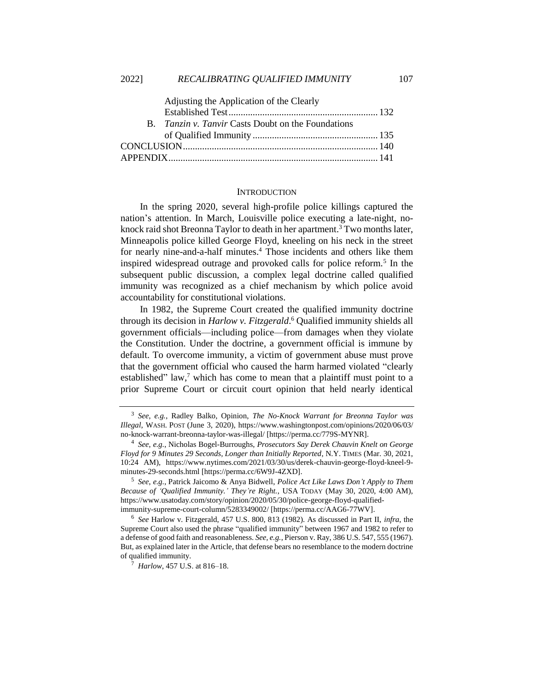| Adjusting the Application of the Clearly                  |  |
|-----------------------------------------------------------|--|
|                                                           |  |
| B. <i>Tanzin v. Tanvir</i> Casts Doubt on the Foundations |  |
|                                                           |  |
|                                                           |  |
|                                                           |  |

#### **INTRODUCTION**

In the spring 2020, several high-profile police killings captured the nation's attention. In March, Louisville police executing a late-night, noknock raid shot Breonna Taylor to death in her apartment.<sup>3</sup> Two months later, Minneapolis police killed George Floyd, kneeling on his neck in the street for nearly nine-and-a-half minutes.<sup>4</sup> Those incidents and others like them inspired widespread outrage and provoked calls for police reform.<sup>5</sup> In the subsequent public discussion, a complex legal doctrine called qualified immunity was recognized as a chief mechanism by which police avoid accountability for constitutional violations.

In 1982, the Supreme Court created the qualified immunity doctrine through its decision in *Harlow v. Fitzgerald*. <sup>6</sup> Qualified immunity shields all government officials—including police—from damages when they violate the Constitution. Under the doctrine, a government official is immune by default. To overcome immunity, a victim of government abuse must prove that the government official who caused the harm harmed violated "clearly established" law, $\frac{7}{1}$  which has come to mean that a plaintiff must point to a prior Supreme Court or circuit court opinion that held nearly identical

<sup>3</sup> *See*, *e.g.*, Radley Balko, Opinion, *The No-Knock Warrant for Breonna Taylor was Illegal*, WASH. POST (June 3, 2020), https://www.washingtonpost.com/opinions/2020/06/03/ no-knock-warrant-breonna-taylor-was-illegal/ [https://perma.cc/779S-MYNR].

<sup>4</sup> *See*, *e.g.*, Nicholas Bogel-Burroughs, *Prosecutors Say Derek Chauvin Knelt on George Floyd for 9 Minutes 29 Seconds, Longer than Initially Reported*, N.Y. TIMES (Mar. 30, 2021, 10:24 AM), https://www.nytimes.com/2021/03/30/us/derek-chauvin-george-floyd-kneel-9 minutes-29-seconds.html [https://perma.cc/6W9J-4ZXD].

<sup>5</sup> *See*, *e.g.*, Patrick Jaicomo & Anya Bidwell, *Police Act Like Laws Don't Apply to Them Because of 'Qualified Immunity.' They're Right.*, USA TODAY (May 30, 2020, 4:00 AM), https://www.usatoday.com/story/opinion/2020/05/30/police-george-floyd-qualifiedimmunity-supreme-court-column/5283349002/ [https://perma.cc/AAG6-77WV].

<sup>6</sup> *See* Harlow v. Fitzgerald, 457 U.S. 800, 813 (1982). As discussed in Part II, *infra*, the Supreme Court also used the phrase "qualified immunity" between 1967 and 1982 to refer to a defense of good faith and reasonableness. *See, e.g.*, Pierson v. Ray, 386 U.S. 547, 555 (1967). But, as explained later in the Article, that defense bears no resemblance to the modern doctrine of qualified immunity.

<sup>7</sup> *Harlow*, 457 U.S. at 816–18.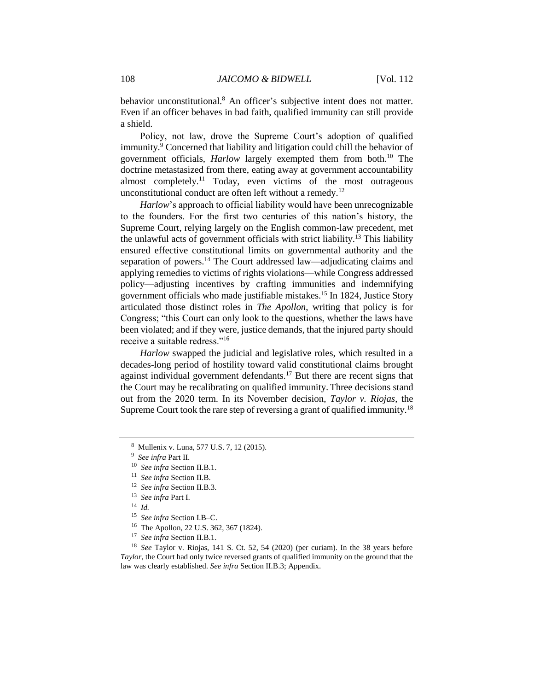behavior unconstitutional.<sup>8</sup> An officer's subjective intent does not matter. Even if an officer behaves in bad faith, qualified immunity can still provide a shield.

Policy, not law, drove the Supreme Court's adoption of qualified immunity.<sup>9</sup> Concerned that liability and litigation could chill the behavior of government officials, *Harlow* largely exempted them from both.<sup>10</sup> The doctrine metastasized from there, eating away at government accountability almost completely.<sup>11</sup> Today, even victims of the most outrageous unconstitutional conduct are often left without a remedy.<sup>12</sup>

*Harlow*'s approach to official liability would have been unrecognizable to the founders. For the first two centuries of this nation's history, the Supreme Court, relying largely on the English common-law precedent, met the unlawful acts of government officials with strict liability.<sup>13</sup> This liability ensured effective constitutional limits on governmental authority and the separation of powers.<sup>14</sup> The Court addressed law—adjudicating claims and applying remedies to victims of rights violations—while Congress addressed policy—adjusting incentives by crafting immunities and indemnifying government officials who made justifiable mistakes.<sup>15</sup> In 1824, Justice Story articulated those distinct roles in *The Apollon*, writing that policy is for Congress; "this Court can only look to the questions, whether the laws have been violated; and if they were, justice demands, that the injured party should receive a suitable redress."<sup>16</sup>

*Harlow* swapped the judicial and legislative roles, which resulted in a decades-long period of hostility toward valid constitutional claims brought against individual government defendants.<sup>17</sup> But there are recent signs that the Court may be recalibrating on qualified immunity. Three decisions stand out from the 2020 term. In its November decision, *Taylor v. Riojas*, the Supreme Court took the rare step of reversing a grant of qualified immunity.<sup>18</sup>

<sup>16</sup> The Apollon, 22 U.S. 362, 367 (1824).

<sup>18</sup> *See* Taylor v. Riojas, 141 S. Ct. 52, 54 (2020) (per curiam). In the 38 years before *Taylor*, the Court had only twice reversed grants of qualified immunity on the ground that the law was clearly established. *See infra* Section II.B.3; Appendix.

<sup>8</sup> Mullenix v. Luna, 577 U.S. 7, 12 (2015).

<sup>9</sup> *See infra* Part II.

<sup>10</sup> *See infra* Section II.B.1.

<sup>11</sup> *See infra* Section II.B.

<sup>12</sup> *See infra* Section II.B.3.

<sup>13</sup> *See infra* Part I.

<sup>14</sup> *Id.*

<sup>15</sup> *See infra* Section I.B–C.

<sup>17</sup> *See infra* Section II.B.1.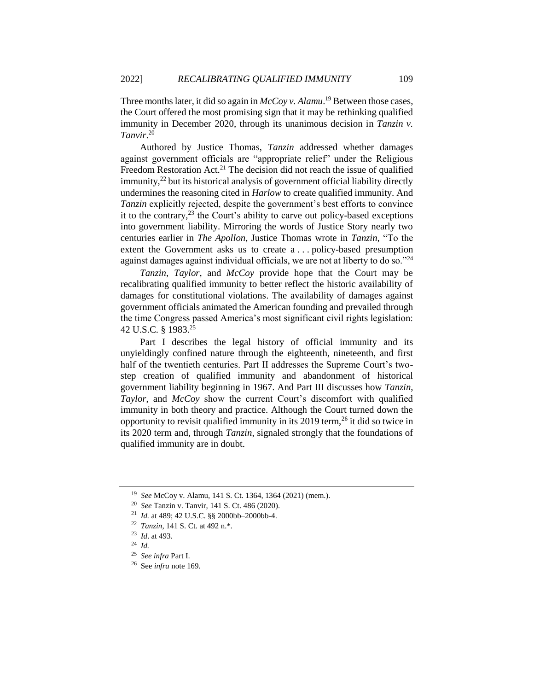Three months later, it did so again in *McCoy v. Alamu*. <sup>19</sup> Between those cases, the Court offered the most promising sign that it may be rethinking qualified immunity in December 2020, through its unanimous decision in *Tanzin v. Tanvir*. 20

Authored by Justice Thomas, *Tanzin* addressed whether damages against government officials are "appropriate relief" under the Religious Freedom Restoration Act.<sup>21</sup> The decision did not reach the issue of qualified  $\frac{1}{2}$  but its historical analysis of government official liability directly undermines the reasoning cited in *Harlow* to create qualified immunity. And *Tanzin* explicitly rejected, despite the government's best efforts to convince it to the contrary, $^{23}$  the Court's ability to carve out policy-based exceptions into government liability. Mirroring the words of Justice Story nearly two centuries earlier in *The Apollon*, Justice Thomas wrote in *Tanzin,* "To the extent the Government asks us to create a . . . policy-based presumption against damages against individual officials, we are not at liberty to do so."<sup>24</sup>

*Tanzin*, *Taylor*, and *McCoy* provide hope that the Court may be recalibrating qualified immunity to better reflect the historic availability of damages for constitutional violations. The availability of damages against government officials animated the American founding and prevailed through the time Congress passed America's most significant civil rights legislation: 42 U.S.C. § 1983.<sup>25</sup>

Part I describes the legal history of official immunity and its unyieldingly confined nature through the eighteenth, nineteenth, and first half of the twentieth centuries. Part II addresses the Supreme Court's twostep creation of qualified immunity and abandonment of historical government liability beginning in 1967. And Part III discusses how *Tanzin*, *Taylor*, and *McCoy* show the current Court's discomfort with qualified immunity in both theory and practice. Although the Court turned down the opportunity to revisit qualified immunity in its 2019 term,  $^{26}$  it did so twice in its 2020 term and, through *Tanzin*, signaled strongly that the foundations of qualified immunity are in doubt.

<sup>19</sup> *See* McCoy v. Alamu, 141 S. Ct. 1364, 1364 (2021) (mem.).

<sup>20</sup> *See* Tanzin v. Tanvir, 141 S. Ct. 486 (2020).

<sup>21</sup> *Id.* at 489; 42 U.S.C. §§ 2000bb–2000bb-4.

<sup>22</sup> *Tanzin*, 141 S. Ct. at 492 n.\*.

<sup>23</sup> *Id*. at 493.

<sup>24</sup> *Id.*

<sup>25</sup> *See infra* Part I.

<sup>26</sup> See *infra* note [169.](#page-26-0)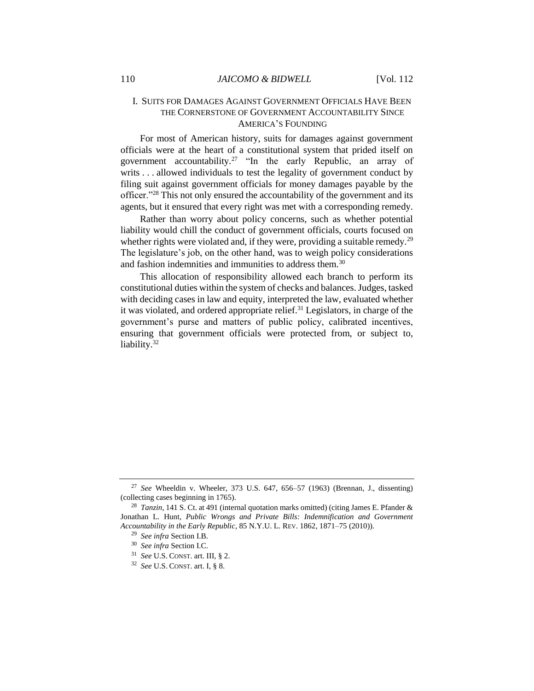#### I. SUITS FOR DAMAGES AGAINST GOVERNMENT OFFICIALS HAVE BEEN THE CORNERSTONE OF GOVERNMENT ACCOUNTABILITY SINCE AMERICA'S FOUNDING

For most of American history, suits for damages against government officials were at the heart of a constitutional system that prided itself on government accountability.<sup>27</sup> "In the early Republic, an array of writs . . . allowed individuals to test the legality of government conduct by filing suit against government officials for money damages payable by the officer."<sup>28</sup> This not only ensured the accountability of the government and its agents, but it ensured that every right was met with a corresponding remedy.

<span id="page-6-0"></span>Rather than worry about policy concerns, such as whether potential liability would chill the conduct of government officials, courts focused on whether rights were violated and, if they were, providing a suitable remedy.<sup>29</sup> The legislature's job, on the other hand, was to weigh policy considerations and fashion indemnities and immunities to address them.<sup>30</sup>

This allocation of responsibility allowed each branch to perform its constitutional duties within the system of checks and balances. Judges, tasked with deciding cases in law and equity, interpreted the law, evaluated whether it was violated, and ordered appropriate relief.<sup>31</sup> Legislators, in charge of the government's purse and matters of public policy, calibrated incentives, ensuring that government officials were protected from, or subject to, liability.<sup>32</sup>

<sup>27</sup> *See* Wheeldin v. Wheeler, 373 U.S. 647, 656–57 (1963) (Brennan, J., dissenting) (collecting cases beginning in 1765).

<sup>28</sup> *Tanzin*, 141 S. Ct. at 491 (internal quotation marks omitted) (citing James E. Pfander & Jonathan L. Hunt, *Public Wrongs and Private Bills: Indemnification and Government Accountability in the Early Republic*, 85 N.Y.U. L. REV. 1862, 1871–75 (2010)).

<sup>29</sup> *See infra* Section I.B.

<sup>30</sup> *See infra* Section I.C.

<sup>31</sup> *See* U.S. CONST. art. III, § 2.

<sup>32</sup> *See* U.S. CONST. art. I, § 8.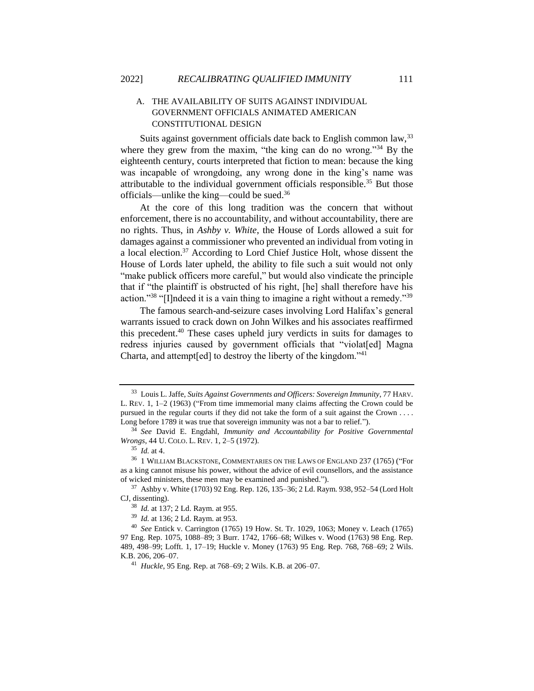#### <span id="page-7-0"></span>A. THE AVAILABILITY OF SUITS AGAINST INDIVIDUAL GOVERNMENT OFFICIALS ANIMATED AMERICAN CONSTITUTIONAL DESIGN

Suits against government officials date back to English common law, <sup>33</sup> where they grew from the maxim, "the king can do no wrong."<sup>34</sup> By the eighteenth century, courts interpreted that fiction to mean: because the king was incapable of wrongdoing, any wrong done in the king's name was attributable to the individual government officials responsible.<sup>35</sup> But those officials—unlike the king—could be sued.<sup>36</sup>

<span id="page-7-1"></span>At the core of this long tradition was the concern that without enforcement, there is no accountability, and without accountability, there are no rights. Thus, in *Ashby v. White*, the House of Lords allowed a suit for damages against a commissioner who prevented an individual from voting in a local election.<sup>37</sup> According to Lord Chief Justice Holt, whose dissent the House of Lords later upheld, the ability to file such a suit would not only "make publick officers more careful," but would also vindicate the principle that if "the plaintiff is obstructed of his right, [he] shall therefore have his action."<sup>38</sup> "[I]ndeed it is a vain thing to imagine a right without a remedy."<sup>39</sup>

The famous search-and-seizure cases involving Lord Halifax's general warrants issued to crack down on John Wilkes and his associates reaffirmed this precedent.<sup>40</sup> These cases upheld jury verdicts in suits for damages to redress injuries caused by government officials that "violat[ed] Magna Charta, and attempt[ed] to destroy the liberty of the kingdom."<sup>41</sup>

<sup>33</sup> Louis L. Jaffe, *Suits Against Governments and Officers: Sovereign Immunity*, 77 HARV. L. REV. 1, 1–2 (1963) ("From time immemorial many claims affecting the Crown could be pursued in the regular courts if they did not take the form of a suit against the Crown . . . . Long before 1789 it was true that sovereign immunity was not a bar to relief.").

<sup>34</sup> *See* David E. Engdahl, *Immunity and Accountability for Positive Governmental Wrongs*, 44 U. COLO. L. REV. 1, 2–5 (1972).

<sup>35</sup> *Id.* at 4.

<sup>36</sup> 1 WILLIAM BLACKSTONE, COMMENTARIES ON THE LAWS OF ENGLAND 237 (1765) ("For as a king cannot misuse his power, without the advice of evil counsellors, and the assistance of wicked ministers, these men may be examined and punished.").

 $37$  Ashby v. White (1703) 92 Eng. Rep. 126, 135–36; 2 Ld. Raym. 938, 952–54 (Lord Holt CJ, dissenting).

<sup>38</sup> *Id.* at 137; 2 Ld. Raym. at 955.

<sup>39</sup> *Id.* at 136; 2 Ld. Raym. at 953.

<sup>40</sup> *See* Entick v. Carrington (1765) 19 How. St. Tr. 1029, 1063; Money v. Leach (1765) 97 Eng. Rep. 1075, 1088–89; 3 Burr. 1742, 1766–68; Wilkes v. Wood (1763) 98 Eng. Rep. 489, 498–99; Lofft. 1, 17–19; Huckle v. Money (1763) 95 Eng. Rep. 768, 768–69; 2 Wils. K.B. 206, 206–07.

<sup>41</sup> *Huckle*, 95 Eng. Rep. at 768–69; 2 Wils. K.B. at 206–07.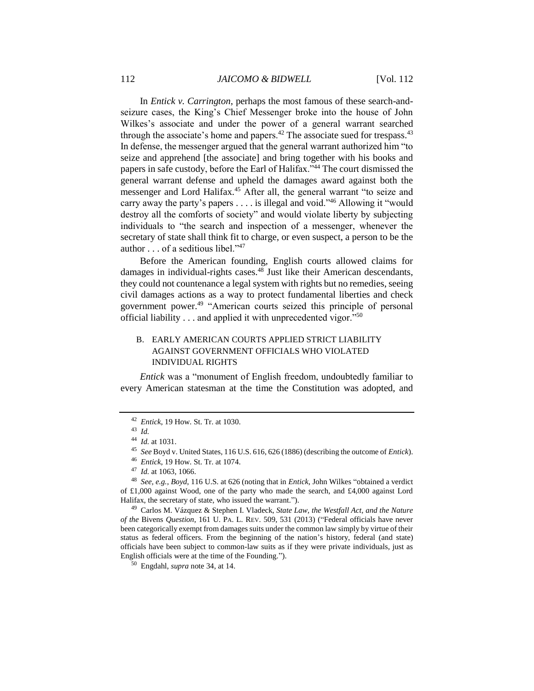In *Entick v. Carrington*, perhaps the most famous of these search-andseizure cases, the King's Chief Messenger broke into the house of John Wilkes's associate and under the power of a general warrant searched through the associate's home and papers.<sup>42</sup> The associate sued for trespass.<sup>43</sup> In defense, the messenger argued that the general warrant authorized him "to seize and apprehend [the associate] and bring together with his books and papers in safe custody, before the Earl of Halifax."<sup>44</sup> The court dismissed the general warrant defense and upheld the damages award against both the messenger and Lord Halifax.<sup>45</sup> After all, the general warrant "to seize and carry away the party's papers . . . . is illegal and void."<sup>46</sup> Allowing it "would destroy all the comforts of society" and would violate liberty by subjecting individuals to "the search and inspection of a messenger, whenever the secretary of state shall think fit to charge, or even suspect, a person to be the author . . . of a seditious libel."<sup>47</sup>

Before the American founding, English courts allowed claims for damages in individual-rights cases.<sup>48</sup> Just like their American descendants, they could not countenance a legal system with rights but no remedies, seeing civil damages actions as a way to protect fundamental liberties and check government power.<sup>49</sup> "American courts seized this principle of personal official liability . . . and applied it with unprecedented vigor."<sup>50</sup>

#### B. EARLY AMERICAN COURTS APPLIED STRICT LIABILITY AGAINST GOVERNMENT OFFICIALS WHO VIOLATED INDIVIDUAL RIGHTS

*Entick* was a "monument of English freedom, undoubtedly familiar to every American statesman at the time the Constitution was adopted, and

- <sup>46</sup> *Entick*, 19 How. St. Tr. at 1074.
- <sup>47</sup> *Id.* at 1063, 1066.

<sup>49</sup> Carlos M. Vázquez & Stephen I. Vladeck, *State Law, the Westfall Act, and the Nature of the* Bivens *Question*, 161 U. PA. L. REV. 509, 531 (2013) ("Federal officials have never been categorically exempt from damages suits under the common law simply by virtue of their status as federal officers. From the beginning of the nation's history, federal (and state) officials have been subject to common-law suits as if they were private individuals, just as English officials were at the time of the Founding.").

<sup>42</sup> *Entick*, 19 How. St. Tr. at 1030.

<sup>43</sup> *Id.*

<sup>44</sup> *Id.* at 1031.

<sup>45</sup> *See* Boyd v. United States, 116 U.S. 616, 626 (1886) (describing the outcome of *Entick*).

<sup>48</sup> *See, e.g.*, *Boyd*, 116 U.S. at 626 (noting that in *Entick*, John Wilkes "obtained a verdict of £1,000 against Wood, one of the party who made the search, and £4,000 against Lord Halifax, the secretary of state, who issued the warrant.").

<sup>50</sup> Engdahl, *supra* not[e 34,](#page-7-0) at 14.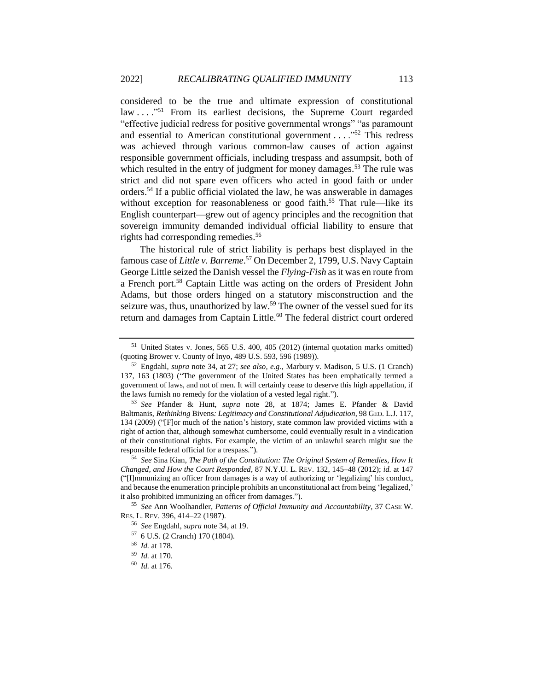considered to be the true and ultimate expression of constitutional law . . . ."<sup>51</sup> From its earliest decisions, the Supreme Court regarded "effective judicial redress for positive governmental wrongs" "as paramount and essential to American constitutional government . . . ."<sup>52</sup> This redress was achieved through various common-law causes of action against responsible government officials, including trespass and assumpsit, both of which resulted in the entry of judgment for money damages.<sup>53</sup> The rule was strict and did not spare even officers who acted in good faith or under orders.<sup>54</sup> If a public official violated the law, he was answerable in damages without exception for reasonableness or good faith.<sup>55</sup> That rule—like its English counterpart—grew out of agency principles and the recognition that sovereign immunity demanded individual official liability to ensure that rights had corresponding remedies.<sup>56</sup>

<span id="page-9-1"></span><span id="page-9-0"></span>The historical rule of strict liability is perhaps best displayed in the famous case of *Little v. Barreme*. <sup>57</sup> On December 2, 1799, U.S. Navy Captain George Little seized the Danish vessel the *Flying-Fish* as it was en route from a French port.<sup>58</sup> Captain Little was acting on the orders of President John Adams, but those orders hinged on a statutory misconstruction and the seizure was, thus, unauthorized by law.<sup>59</sup> The owner of the vessel sued for its return and damages from Captain Little.<sup>60</sup> The federal district court ordered

<sup>53</sup> *See* Pfander & Hunt, *supra* note 28, at 1874; James E. Pfander & David Baltmanis, *Rethinking* Bivens*: Legitimacy and Constitutional Adjudication*, 98 GEO. L.J. 117, 134 (2009) ("[F]or much of the nation's history, state common law provided victims with a right of action that, although somewhat cumbersome, could eventually result in a vindication of their constitutional rights. For example, the victim of an unlawful search might sue the responsible federal official for a trespass.").

<sup>54</sup> *See* Sina Kian, *The Path of the Constitution: The Original System of Remedies, How It Changed, and How the Court Responded*, 87 N.Y.U. L. REV. 132, 145–48 (2012); *id.* at 147 ("[I]mmunizing an officer from damages is a way of authorizing or 'legalizing' his conduct, and because the enumeration principle prohibits an unconstitutional act from being 'legalized,' it also prohibited immunizing an officer from damages.").

<sup>55</sup> *See* Ann Woolhandler, *Patterns of Official Immunity and Accountability*, 37 CASE W. RES. L. REV. 396, 414–22 (1987).

 $51$  United States v. Jones, 565 U.S. 400, 405 (2012) (internal quotation marks omitted) (quoting Brower v. County of Inyo*,* 489 U.S. 593, 596 (1989)).

<sup>52</sup> Engdahl, *supra* note [34,](#page-7-0) at 27; *see also, e.g.*, Marbury v. Madison, 5 U.S. (1 Cranch) 137, 163 (1803) ("The government of the United States has been emphatically termed a government of laws, and not of men. It will certainly cease to deserve this high appellation, if the laws furnish no remedy for the violation of a vested legal right.").

<sup>56</sup> *See* Engdahl, *supra* not[e 34,](#page-7-0) at 19.

<sup>57</sup> 6 U.S. (2 Cranch) 170 (1804).

<sup>58</sup> *Id.* at 178.

<sup>59</sup> *Id.* at 170.

<sup>60</sup> *Id.* at 176.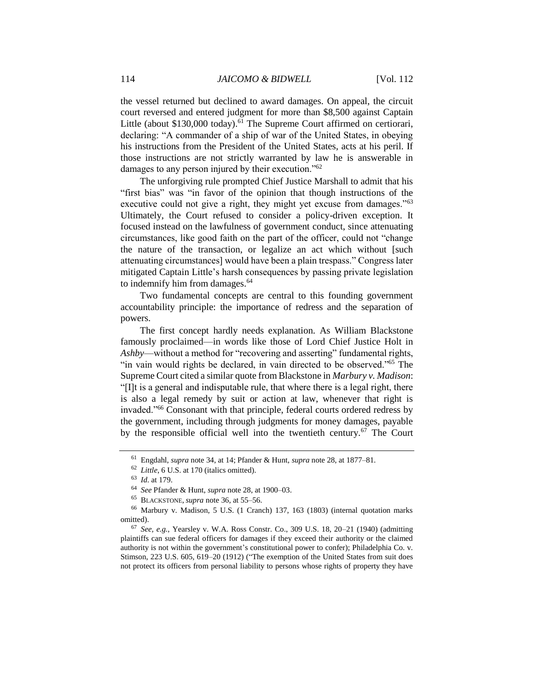the vessel returned but declined to award damages. On appeal, the circuit court reversed and entered judgment for more than \$8,500 against Captain Little (about \$130,000 today).<sup>61</sup> The Supreme Court affirmed on certiorari, declaring: "A commander of a ship of war of the United States, in obeying his instructions from the President of the United States, acts at his peril. If those instructions are not strictly warranted by law he is answerable in damages to any person injured by their execution."<sup>62</sup>

The unforgiving rule prompted Chief Justice Marshall to admit that his "first bias" was "in favor of the opinion that though instructions of the executive could not give a right, they might yet excuse from damages."<sup>63</sup> Ultimately, the Court refused to consider a policy-driven exception. It focused instead on the lawfulness of government conduct, since attenuating circumstances, like good faith on the part of the officer, could not "change the nature of the transaction, or legalize an act which without [such attenuating circumstances] would have been a plain trespass." Congress later mitigated Captain Little's harsh consequences by passing private legislation to indemnify him from damages.<sup>64</sup>

Two fundamental concepts are central to this founding government accountability principle: the importance of redress and the separation of powers.

The first concept hardly needs explanation. As William Blackstone famously proclaimed—in words like those of Lord Chief Justice Holt in *Ashby*—without a method for "recovering and asserting" fundamental rights, "in vain would rights be declared, in vain directed to be observed."<sup>65</sup> The Supreme Court cited a similar quote from Blackstone in *Marbury v. Madison*: "[I]t is a general and indisputable rule, that where there is a legal right, there is also a legal remedy by suit or action at law, whenever that right is invaded."<sup>66</sup> Consonant with that principle, federal courts ordered redress by the government, including through judgments for money damages, payable by the responsible official well into the twentieth century.<sup>67</sup> The Court

<sup>61</sup> Engdahl, *supra* not[e 34,](#page-7-0) at 14; Pfander & Hunt, *supra* note [28,](#page-6-0) at 1877–81.

<sup>62</sup> *Little*, 6 U.S. at 170 (italics omitted).

<sup>63</sup> *Id.* at 179.

<sup>64</sup> *See* Pfander & Hunt, *supra* not[e 28,](#page-6-0) at 1900–03.

<sup>65</sup> BLACKSTONE, *supra* not[e 36,](#page-7-1) at 55–56.

<sup>66</sup> Marbury v. Madison, 5 U.S. (1 Cranch) 137, 163 (1803) (internal quotation marks omitted).

<sup>67</sup> *See, e.g.*, Yearsley v. W.A. Ross Constr. Co., 309 U.S. 18, 20–21 (1940) (admitting plaintiffs can sue federal officers for damages if they exceed their authority or the claimed authority is not within the government's constitutional power to confer); Philadelphia Co. v. Stimson, 223 U.S. 605, 619–20 (1912) ("The exemption of the United States from suit does not protect its officers from personal liability to persons whose rights of property they have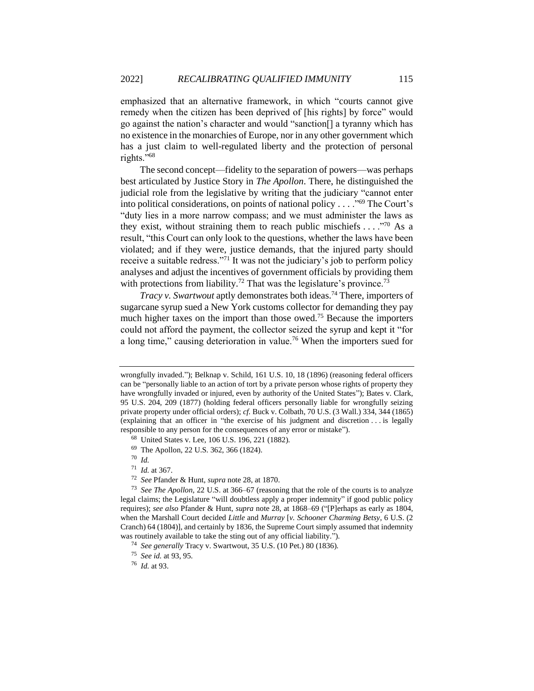emphasized that an alternative framework, in which "courts cannot give remedy when the citizen has been deprived of [his rights] by force" would go against the nation's character and would "sanction[] a tyranny which has no existence in the monarchies of Europe, nor in any other government which has a just claim to well-regulated liberty and the protection of personal rights."<sup>68</sup>

The second concept—fidelity to the separation of powers—was perhaps best articulated by Justice Story in *The Apollon*. There, he distinguished the judicial role from the legislative by writing that the judiciary "cannot enter into political considerations, on points of national policy . . . ."<sup>69</sup> The Court's "duty lies in a more narrow compass; and we must administer the laws as they exist, without straining them to reach public mischiefs  $\dots$  ."<sup>70</sup> As a result, "this Court can only look to the questions, whether the laws have been violated; and if they were, justice demands, that the injured party should receive a suitable redress."<sup>71</sup> It was not the judiciary's job to perform policy analyses and adjust the incentives of government officials by providing them with protections from liability.<sup>72</sup> That was the legislature's province.<sup>73</sup>

*Tracy v. Swartwout* aptly demonstrates both ideas.<sup>74</sup> There, importers of sugarcane syrup sued a New York customs collector for demanding they pay much higher taxes on the import than those owed.<sup>75</sup> Because the importers could not afford the payment, the collector seized the syrup and kept it "for a long time," causing deterioration in value.<sup>76</sup> When the importers sued for

wrongfully invaded."); Belknap v. Schild, 161 U.S. 10, 18 (1896) (reasoning federal officers can be "personally liable to an action of tort by a private person whose rights of property they have wrongfully invaded or injured, even by authority of the United States"); Bates v. Clark, 95 U.S. 204, 209 (1877) (holding federal officers personally liable for wrongfully seizing private property under official orders); *cf.* Buck v. Colbath, 70 U.S. (3 Wall.) 334, 344 (1865) (explaining that an officer in "the exercise of his judgment and discretion . . . is legally responsible to any person for the consequences of any error or mistake").

<sup>68</sup> United States v. Lee, 106 U.S. 196, 221 (1882).

<sup>69</sup> The Apollon, 22 U.S. 362, 366 (1824).

<sup>70</sup> *Id.*

<sup>71</sup> *Id.* at 367.

<sup>72</sup> *See* Pfander & Hunt, *supra* not[e 28,](#page-6-0) at 1870.

<sup>73</sup> *See The Apollon*, 22 U.S. at 366–67 (reasoning that the role of the courts is to analyze legal claims; the Legislature "will doubtless apply a proper indemnity" if good public policy requires); *see also* Pfander & Hunt, *supra* not[e 28,](#page-6-0) at 1868–69 ("[P]erhaps as early as 1804, when the Marshall Court decided *Little* and *Murray* [*v. Schooner Charming Betsy*, 6 U.S. (2 Cranch) 64 (1804)], and certainly by 1836, the Supreme Court simply assumed that indemnity was routinely available to take the sting out of any official liability.").

<sup>74</sup> *See generally* Tracy v. Swartwout, 35 U.S. (10 Pet.) 80 (1836).

<sup>75</sup> *See id.* at 93, 95.

<sup>76</sup> *Id.* at 93.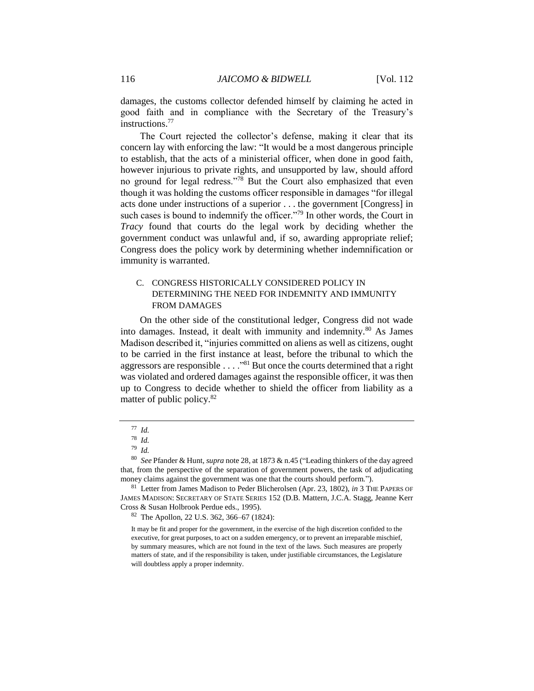damages, the customs collector defended himself by claiming he acted in good faith and in compliance with the Secretary of the Treasury's instructions<sup>77</sup>

The Court rejected the collector's defense, making it clear that its concern lay with enforcing the law: "It would be a most dangerous principle to establish, that the acts of a ministerial officer, when done in good faith, however injurious to private rights, and unsupported by law, should afford no ground for legal redress."<sup>78</sup> But the Court also emphasized that even though it was holding the customs officer responsible in damages "for illegal acts done under instructions of a superior . . . the government [Congress] in such cases is bound to indemnify the officer."<sup>79</sup> In other words, the Court in *Tracy* found that courts do the legal work by deciding whether the government conduct was unlawful and, if so, awarding appropriate relief; Congress does the policy work by determining whether indemnification or immunity is warranted.

#### C. CONGRESS HISTORICALLY CONSIDERED POLICY IN DETERMINING THE NEED FOR INDEMNITY AND IMMUNITY FROM DAMAGES

On the other side of the constitutional ledger, Congress did not wade into damages. Instead, it dealt with immunity and indemnity.<sup>80</sup> As James Madison described it, "injuries committed on aliens as well as citizens, ought to be carried in the first instance at least, before the tribunal to which the aggressors are responsible . . . ."<sup>81</sup> But once the courts determined that a right was violated and ordered damages against the responsible officer, it was then up to Congress to decide whether to shield the officer from liability as a matter of public policy.<sup>82</sup>

<sup>82</sup> The Apollon, 22 U.S. 362, 366–67 (1824):

<sup>77</sup> *Id.*

<sup>78</sup> *Id.*

<sup>79</sup> *Id.*

<sup>80</sup> *See* Pfander & Hunt, *supra* not[e 28,](#page-6-0) at 1873 & n.45 ("Leading thinkers of the day agreed that, from the perspective of the separation of government powers, the task of adjudicating money claims against the government was one that the courts should perform.").

<sup>81</sup> Letter from James Madison to Peder Blicherolsen (Apr. 23, 1802), *in* 3 THE PAPERS OF JAMES MADISON: SECRETARY OF STATE SERIES 152 (D.B. Mattern, J.C.A. Stagg, Jeanne Kerr Cross & Susan Holbrook Perdue eds., 1995).

It may be fit and proper for the government, in the exercise of the high discretion confided to the executive, for great purposes, to act on a sudden emergency, or to prevent an irreparable mischief, by summary measures, which are not found in the text of the laws. Such measures are properly matters of state, and if the responsibility is taken, under justifiable circumstances, the Legislature will doubtless apply a proper indemnity.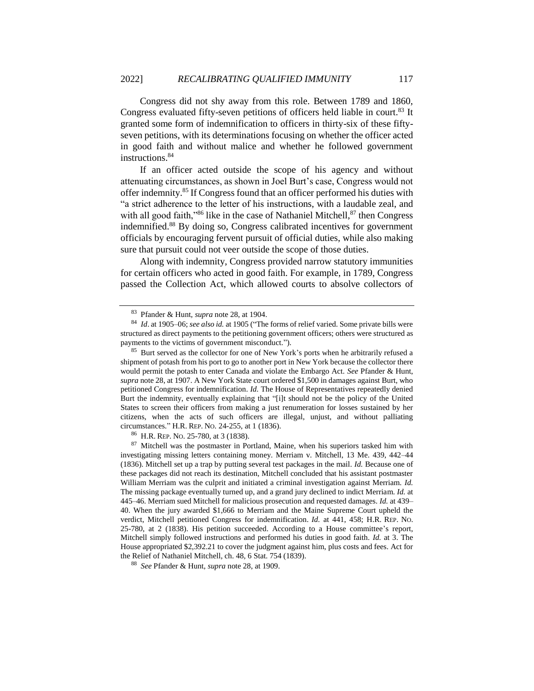Congress did not shy away from this role. Between 1789 and 1860, Congress evaluated fifty-seven petitions of officers held liable in court.<sup>83</sup> It granted some form of indemnification to officers in thirty-six of these fiftyseven petitions, with its determinations focusing on whether the officer acted in good faith and without malice and whether he followed government instructions.<sup>84</sup>

If an officer acted outside the scope of his agency and without attenuating circumstances, as shown in Joel Burt's case, Congress would not offer indemnity.<sup>85</sup> If Congress found that an officer performed his duties with "a strict adherence to the letter of his instructions, with a laudable zeal, and with all good faith,"<sup>86</sup> like in the case of Nathaniel Mitchell,  $87$  then Congress indemnified.<sup>88</sup> By doing so, Congress calibrated incentives for government officials by encouraging fervent pursuit of official duties, while also making sure that pursuit could not veer outside the scope of those duties.

Along with indemnity, Congress provided narrow statutory immunities for certain officers who acted in good faith. For example, in 1789, Congress passed the Collection Act, which allowed courts to absolve collectors of

<sup>86</sup> H.R. REP. NO. 25-780, at 3 (1838).

<sup>87</sup> Mitchell was the postmaster in Portland, Maine, when his superiors tasked him with investigating missing letters containing money. Merriam v. Mitchell, 13 Me. 439, 442–44 (1836). Mitchell set up a trap by putting several test packages in the mail. *Id.* Because one of these packages did not reach its destination, Mitchell concluded that his assistant postmaster William Merriam was the culprit and initiated a criminal investigation against Merriam. *Id.* The missing package eventually turned up, and a grand jury declined to indict Merriam. *Id.* at 445–46. Merriam sued Mitchell for malicious prosecution and requested damages. *Id.* at 439– 40. When the jury awarded \$1,666 to Merriam and the Maine Supreme Court upheld the verdict, Mitchell petitioned Congress for indemnification. *Id.* at 441, 458; H.R. REP. NO. 25-780, at 2 (1838). His petition succeeded. According to a House committee's report, Mitchell simply followed instructions and performed his duties in good faith. *Id.* at 3. The House appropriated \$2,392.21 to cover the judgment against him, plus costs and fees. Act for the Relief of Nathaniel Mitchell, ch. 48, 6 Stat. 754 (1839).

<sup>88</sup> *See* Pfander & Hunt, *supra* not[e 28,](#page-6-0) at 1909.

<sup>83</sup> Pfander & Hunt, *supra* note [28,](#page-6-0) at 1904.

<sup>84</sup> *Id*. at 1905–06; *see also id.* at 1905 ("The forms of relief varied. Some private bills were structured as direct payments to the petitioning government officers; others were structured as payments to the victims of government misconduct.").

<sup>&</sup>lt;sup>85</sup> Burt served as the collector for one of New York's ports when he arbitrarily refused a shipment of potash from his port to go to another port in New York because the collector there would permit the potash to enter Canada and violate the Embargo Act. *See* Pfander & Hunt, *supra* not[e 28,](#page-6-0) at 1907. A New York State court ordered \$1,500 in damages against Burt, who petitioned Congress for indemnification. *Id.* The House of Representatives repeatedly denied Burt the indemnity, eventually explaining that "[i]t should not be the policy of the United States to screen their officers from making a just renumeration for losses sustained by her citizens, when the acts of such officers are illegal, unjust, and without palliating circumstances." H.R. REP. NO. 24-255, at 1 (1836).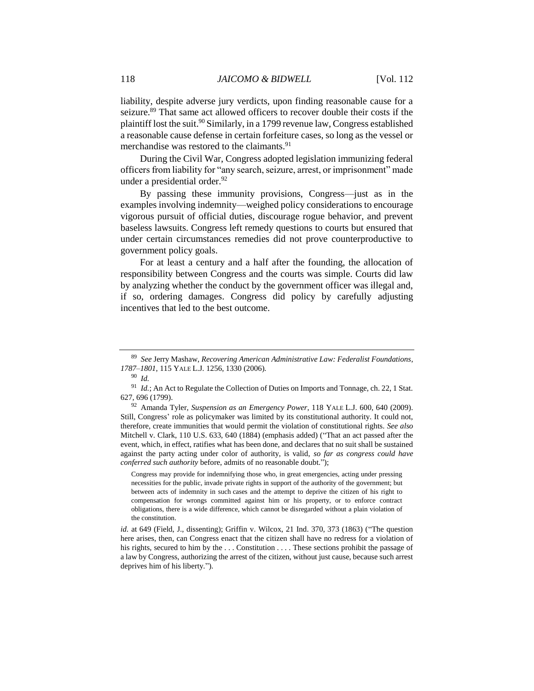liability, despite adverse jury verdicts, upon finding reasonable cause for a seizure.<sup>89</sup> That same act allowed officers to recover double their costs if the plaintiff lost the suit.<sup>90</sup> Similarly, in a 1799 revenue law, Congress established a reasonable cause defense in certain forfeiture cases, so long as the vessel or merchandise was restored to the claimants.<sup>91</sup>

During the Civil War, Congress adopted legislation immunizing federal officers from liability for "any search, seizure, arrest, or imprisonment" made under a presidential order. $92$ 

By passing these immunity provisions, Congress—just as in the examples involving indemnity—weighed policy considerations to encourage vigorous pursuit of official duties, discourage rogue behavior, and prevent baseless lawsuits. Congress left remedy questions to courts but ensured that under certain circumstances remedies did not prove counterproductive to government policy goals.

For at least a century and a half after the founding, the allocation of responsibility between Congress and the courts was simple. Courts did law by analyzing whether the conduct by the government officer was illegal and, if so, ordering damages. Congress did policy by carefully adjusting incentives that led to the best outcome.

Congress may provide for indemnifying those who, in great emergencies, acting under pressing necessities for the public, invade private rights in support of the authority of the government; but between acts of indemnity in such cases and the attempt to deprive the citizen of his right to compensation for wrongs committed against him or his property, or to enforce contract obligations, there is a wide difference, which cannot be disregarded without a plain violation of the constitution.

<sup>89</sup> *See* Jerry Mashaw, *Recovering American Administrative Law: Federalist Foundations, 1787–1801*, 115 YALE L.J. 1256, 1330 (2006).

<sup>90</sup> *Id.*

<sup>91</sup> *Id.*; An Act to Regulate the Collection of Duties on Imports and Tonnage, ch. 22, 1 Stat. 627, 696 (1799).

<sup>92</sup> Amanda Tyler, *Suspension as an Emergency Power*, 118 YALE L.J. 600, 640 (2009). Still, Congress' role as policymaker was limited by its constitutional authority. It could not, therefore, create immunities that would permit the violation of constitutional rights. *See also* Mitchell v. Clark, 110 U.S. 633, 640 (1884) (emphasis added) ("That an act passed after the event, which, in effect, ratifies what has been done, and declares that no suit shall be sustained against the party acting under color of authority, is valid, *so far as congress could have conferred such authority* before, admits of no reasonable doubt.");

*id.* at 649 (Field, J., dissenting); Griffin v. Wilcox, 21 Ind. 370, 373 (1863) ("The question here arises, then, can Congress enact that the citizen shall have no redress for a violation of his rights, secured to him by the ... Constitution ... These sections prohibit the passage of a law by Congress, authorizing the arrest of the citizen, without just cause, because such arrest deprives him of his liberty.").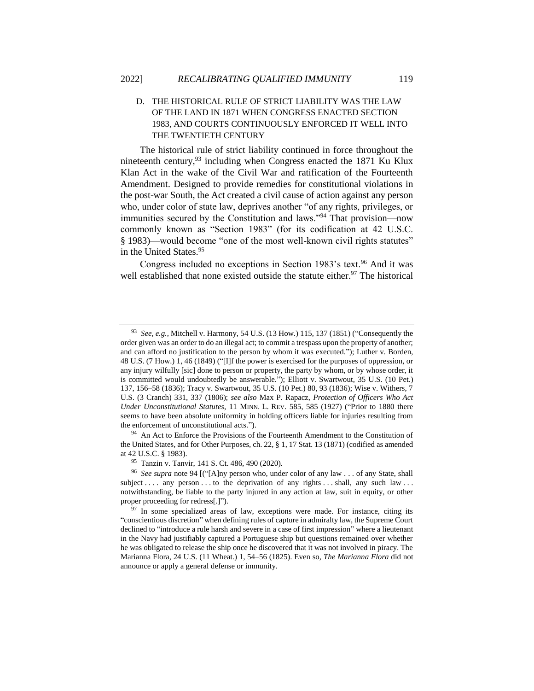#### D. THE HISTORICAL RULE OF STRICT LIABILITY WAS THE LAW OF THE LAND IN 1871 WHEN CONGRESS ENACTED SECTION 1983, AND COURTS CONTINUOUSLY ENFORCED IT WELL INTO THE TWENTIETH CENTURY

The historical rule of strict liability continued in force throughout the nineteenth century,<sup>93</sup> including when Congress enacted the 1871 Ku Klux Klan Act in the wake of the Civil War and ratification of the Fourteenth Amendment. Designed to provide remedies for constitutional violations in the post-war South, the Act created a civil cause of action against any person who, under color of state law, deprives another "of any rights, privileges, or immunities secured by the Constitution and laws."<sup>94</sup> That provision—now commonly known as "Section 1983" (for its codification at 42 U.S.C. § 1983)—would become "one of the most well-known civil rights statutes" in the United States.<sup>95</sup>

Congress included no exceptions in Section 1983's text.<sup>96</sup> And it was well established that none existed outside the statute either.<sup>97</sup> The historical

<sup>94</sup> An Act to Enforce the Provisions of the Fourteenth Amendment to the Constitution of the United States, and for Other Purposes, ch. 22, § 1, 17 Stat. 13 (1871) (codified as amended at 42 U.S.C. § 1983).

<sup>93</sup> *See, e.g.*, Mitchell v. Harmony, 54 U.S. (13 How.) 115, 137 (1851) ("Consequently the order given was an order to do an illegal act; to commit a trespass upon the property of another; and can afford no justification to the person by whom it was executed."); Luther v. Borden, 48 U.S. (7 How.) 1, 46 (1849) ("[I]f the power is exercised for the purposes of oppression, or any injury wilfully [sic] done to person or property, the party by whom, or by whose order, it is committed would undoubtedly be answerable."); Elliott v. Swartwout, 35 U.S. (10 Pet.) 137, 156–58 (1836); Tracy v. Swartwout, 35 U.S. (10 Pet.) 80, 93 (1836); Wise v. Withers, 7 U.S. (3 Cranch) 331, 337 (1806); *see also* Max P. Rapacz, *Protection of Officers Who Act Under Unconstitutional Statutes*, 11 MINN. L. REV. 585, 585 (1927) ("Prior to 1880 there seems to have been absolute uniformity in holding officers liable for injuries resulting from the enforcement of unconstitutional acts.").

<sup>95</sup> Tanzin v. Tanvir, 141 S. Ct. 486, 490 (2020).

<sup>96</sup> *See supra* note 94 [("[A]ny person who, under color of any law . . . of any State, shall subject ... . any person ... to the deprivation of any rights ... shall, any such law ... notwithstanding, be liable to the party injured in any action at law, suit in equity, or other proper proceeding for redress[.]").

 $97$  In some specialized areas of law, exceptions were made. For instance, citing its "conscientious discretion" when defining rules of capture in admiralty law, the Supreme Court declined to "introduce a rule harsh and severe in a case of first impression" where a lieutenant in the Navy had justifiably captured a Portuguese ship but questions remained over whether he was obligated to release the ship once he discovered that it was not involved in piracy. The Marianna Flora, 24 U.S. (11 Wheat.) 1, 54–56 (1825). Even so, *The Marianna Flora* did not announce or apply a general defense or immunity.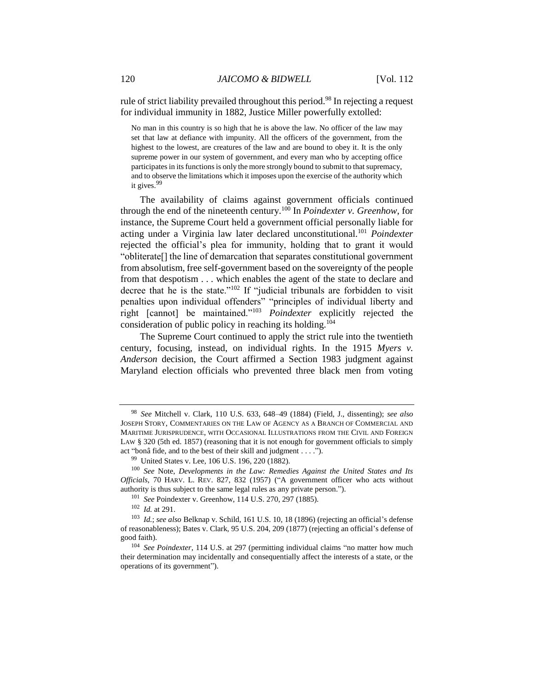rule of strict liability prevailed throughout this period.<sup>98</sup> In rejecting a request for individual immunity in 1882, Justice Miller powerfully extolled:

No man in this country is so high that he is above the law. No officer of the law may set that law at defiance with impunity. All the officers of the government, from the highest to the lowest, are creatures of the law and are bound to obey it. It is the only supreme power in our system of government, and every man who by accepting office participates in its functions is only the more strongly bound to submit to that supremacy, and to observe the limitations which it imposes upon the exercise of the authority which it gives.<sup>99</sup>

The availability of claims against government officials continued through the end of the nineteenth century.<sup>100</sup> In *Poindexter v. Greenhow*, for instance, the Supreme Court held a government official personally liable for acting under a Virginia law later declared unconstitutional.<sup>101</sup> *Poindexter* rejected the official's plea for immunity, holding that to grant it would "obliterate[] the line of demarcation that separates constitutional government from absolutism, free self-government based on the sovereignty of the people from that despotism . . . which enables the agent of the state to declare and decree that he is the state."<sup>102</sup> If "judicial tribunals are forbidden to visit penalties upon individual offenders" "principles of individual liberty and right [cannot] be maintained."<sup>103</sup> *Poindexter* explicitly rejected the consideration of public policy in reaching its holding.<sup>104</sup>

The Supreme Court continued to apply the strict rule into the twentieth century, focusing, instead, on individual rights. In the 1915 *Myers v. Anderson* decision, the Court affirmed a Section 1983 judgment against Maryland election officials who prevented three black men from voting

<sup>98</sup> *See* Mitchell v. Clark, 110 U.S. 633, 648–49 (1884) (Field, J., dissenting); *see also* JOSEPH STORY, COMMENTARIES ON THE LAW OF AGENCY AS A BRANCH OF COMMERCIAL AND MARITIME JURISPRUDENCE, WITH OCCASIONAL ILLUSTRATIONS FROM THE CIVIL AND FOREIGN LAW § 320 (5th ed. 1857) (reasoning that it is not enough for government officials to simply act "bonâ fide, and to the best of their skill and judgment . . . .").

<sup>99</sup> United States v. Lee, 106 U.S. 196, 220 (1882).

<sup>100</sup> *See* Note, *Developments in the Law: Remedies Against the United States and Its Officials*, 70 HARV. L. REV. 827, 832 (1957) ("A government officer who acts without authority is thus subject to the same legal rules as any private person.").

<sup>101</sup> *See* Poindexter v. Greenhow, 114 U.S. 270, 297 (1885).

<sup>102</sup> *Id.* at 291.

<sup>103</sup> *Id.*; *see also* Belknap v. Schild, 161 U.S. 10, 18 (1896) (rejecting an official's defense of reasonableness); Bates v. Clark, 95 U.S. 204, 209 (1877) (rejecting an official's defense of good faith).

<sup>&</sup>lt;sup>104</sup> See Poindexter, 114 U.S. at 297 (permitting individual claims "no matter how much their determination may incidentally and consequentially affect the interests of a state, or the operations of its government").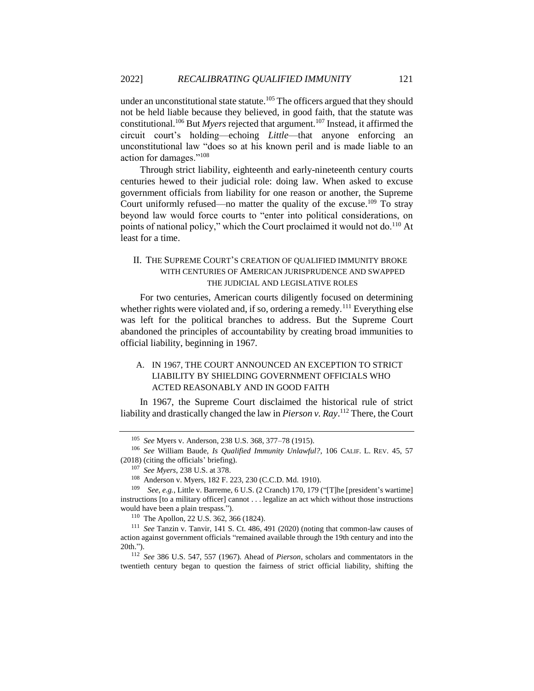<span id="page-17-0"></span>under an unconstitutional state statute.<sup>105</sup> The officers argued that they should not be held liable because they believed, in good faith, that the statute was constitutional.<sup>106</sup> But *Myers* rejected that argument.<sup>107</sup> Instead, it affirmed the circuit court's holding—echoing *Little*—that anyone enforcing an unconstitutional law "does so at his known peril and is made liable to an action for damages."<sup>108</sup>

Through strict liability, eighteenth and early-nineteenth century courts centuries hewed to their judicial role: doing law. When asked to excuse government officials from liability for one reason or another, the Supreme Court uniformly refused—no matter the quality of the excuse.<sup>109</sup> To stray beyond law would force courts to "enter into political considerations, on points of national policy," which the Court proclaimed it would not do.<sup>110</sup> At least for a time.

#### II. THE SUPREME COURT'S CREATION OF QUALIFIED IMMUNITY BROKE WITH CENTURIES OF AMERICAN JURISPRUDENCE AND SWAPPED THE JUDICIAL AND LEGISLATIVE ROLES

For two centuries, American courts diligently focused on determining whether rights were violated and, if so, ordering a remedy.<sup>111</sup> Everything else was left for the political branches to address. But the Supreme Court abandoned the principles of accountability by creating broad immunities to official liability, beginning in 1967.

#### A. IN 1967, THE COURT ANNOUNCED AN EXCEPTION TO STRICT LIABILITY BY SHIELDING GOVERNMENT OFFICIALS WHO ACTED REASONABLY AND IN GOOD FAITH

In 1967, the Supreme Court disclaimed the historical rule of strict liability and drastically changed the law in *Pierson v. Ray*. <sup>112</sup> There, the Court

<sup>105</sup> *See* Myers v. Anderson, 238 U.S. 368, 377–78 (1915).

<sup>106</sup> *See* William Baude, *Is Qualified Immunity Unlawful?*, 106 CALIF. L. REV. 45, 57 (2018) (citing the officials' briefing).

<sup>107</sup> *See Myers*, 238 U.S. at 378.

<sup>108</sup> Anderson v. Myers, 182 F. 223, 230 (C.C.D. Md. 1910).

<sup>109</sup>  *See, e.g.*, Little v. Barreme, 6 U.S. (2 Cranch) 170, 179 ("[T]he [president's wartime] instructions [to a military officer] cannot . . . legalize an act which without those instructions would have been a plain trespass.").

<sup>110</sup> The Apollon, 22 U.S. 362, 366 (1824).

<sup>111</sup> *See* Tanzin v. Tanvir, 141 S. Ct. 486, 491 (2020) (noting that common-law causes of action against government officials "remained available through the 19th century and into the 20th.").

<sup>112</sup> *See* 386 U.S. 547, 557 (1967). Ahead of *Pierson*, scholars and commentators in the twentieth century began to question the fairness of strict official liability, shifting the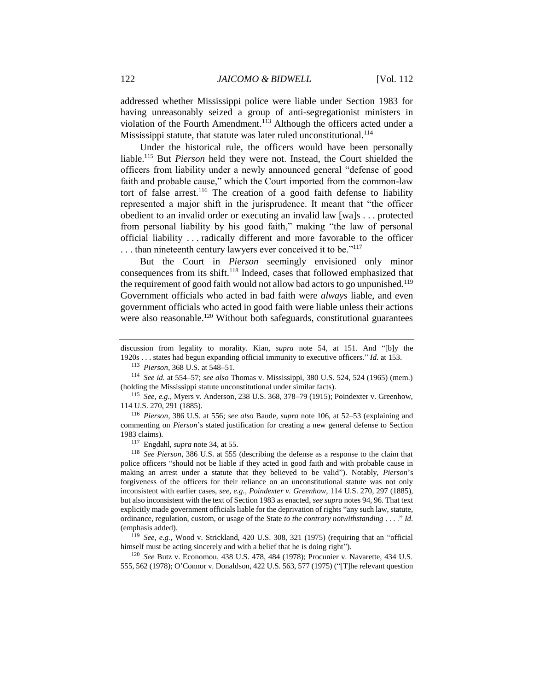addressed whether Mississippi police were liable under Section 1983 for having unreasonably seized a group of anti-segregationist ministers in violation of the Fourth Amendment.<sup>113</sup> Although the officers acted under a Mississippi statute, that statute was later ruled unconstitutional.<sup>114</sup>

Under the historical rule, the officers would have been personally liable. <sup>115</sup> But *Pierson* held they were not. Instead, the Court shielded the officers from liability under a newly announced general "defense of good faith and probable cause," which the Court imported from the common-law tort of false arrest.<sup>116</sup> The creation of a good faith defense to liability represented a major shift in the jurisprudence. It meant that "the officer obedient to an invalid order or executing an invalid law [wa]s . . . protected from personal liability by his good faith," making "the law of personal official liability . . . radically different and more favorable to the officer ... than nineteenth century lawyers ever conceived it to be."<sup>117</sup>

But the Court in *Pierson* seemingly envisioned only minor consequences from its shift.<sup>118</sup> Indeed, cases that followed emphasized that the requirement of good faith would not allow bad actors to go unpunished.<sup>119</sup> Government officials who acted in bad faith were *always* liable, and even government officials who acted in good faith were liable unless their actions were also reasonable.<sup>120</sup> Without both safeguards, constitutional guarantees

discussion from legality to morality. Kian, *supra* note [54,](#page-9-0) at 151. And "[b]y the 1920s . . . states had begun expanding official immunity to executive officers." *Id.* at 153.

<sup>113</sup> *Pierson*, 368 U.S. at 548–51.

<sup>114</sup> *See id.* at 554–57; *see also* Thomas v. Mississippi, 380 U.S. 524, 524 (1965) (mem.) (holding the Mississippi statute unconstitutional under similar facts).

<sup>115</sup> *See, e.g.*, Myers v. Anderson, 238 U.S. 368, 378–79 (1915); Poindexter v. Greenhow, 114 U.S. 270, 291 (1885).

<sup>116</sup> *Pierson*, 386 U.S. at 556; *see also* Baude, *supra* note [106,](#page-17-0) at 52–53 (explaining and commenting on *Pierson*'s stated justification for creating a new general defense to Section 1983 claims).

<sup>117</sup> Engdahl, *supra* not[e 34,](#page-7-0) at 55.

<sup>118</sup> *See Pierson*, 386 U.S. at 555 (describing the defense as a response to the claim that police officers "should not be liable if they acted in good faith and with probable cause in making an arrest under a statute that they believed to be valid"). Notably, *Pierson*'s forgiveness of the officers for their reliance on an unconstitutional statute was not only inconsistent with earlier cases, *see, e.g., Poindexter v. Greenhow*, 114 U.S. 270, 297 (1885), but also inconsistent with the text of Section 1983 as enacted, *see supra* notes 94, 96. That text explicitly made government officials liable for the deprivation of rights "any such law, statute, ordinance, regulation, custom, or usage of the State *to the contrary notwithstanding* . . . ." *Id.* (emphasis added).

<sup>119</sup> *See, e.g.*, Wood v. Strickland, 420 U.S. 308, 321 (1975) (requiring that an "official himself must be acting sincerely and with a belief that he is doing right").

<sup>120</sup> *See* Butz v. Economou, 438 U.S. 478, 484 (1978); Procunier v. Navarette, 434 U.S. 555, 562 (1978); O'Connor v. Donaldson, 422 U.S. 563, 577 (1975) ("[T]he relevant question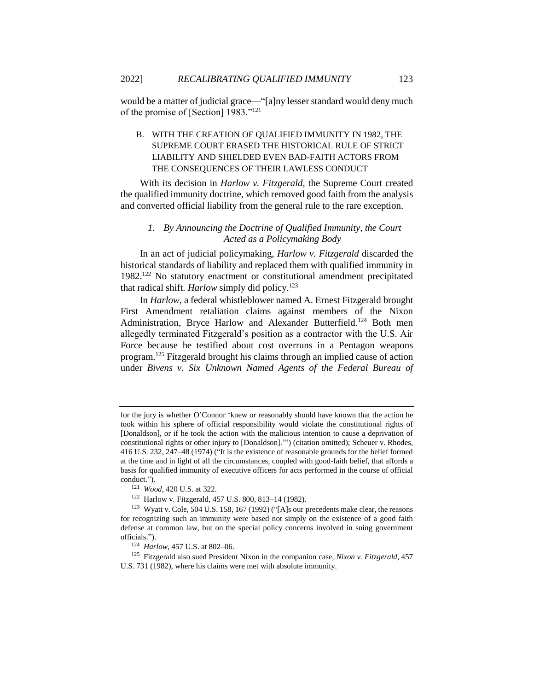would be a matter of judicial grace—"[a]ny lesser standard would deny much of the promise of [Section] 1983."<sup>121</sup>

#### B. WITH THE CREATION OF QUALIFIED IMMUNITY IN 1982, THE SUPREME COURT ERASED THE HISTORICAL RULE OF STRICT LIABILITY AND SHIELDED EVEN BAD-FAITH ACTORS FROM THE CONSEQUENCES OF THEIR LAWLESS CONDUCT

With its decision in *Harlow v. Fitzgerald*, the Supreme Court created the qualified immunity doctrine, which removed good faith from the analysis and converted official liability from the general rule to the rare exception.

#### *1. By Announcing the Doctrine of Qualified Immunity, the Court Acted as a Policymaking Body*

In an act of judicial policymaking, *Harlow v. Fitzgerald* discarded the historical standards of liability and replaced them with qualified immunity in 1982.<sup>122</sup> No statutory enactment or constitutional amendment precipitated that radical shift. *Harlow* simply did policy.<sup>123</sup>

In *Harlow*, a federal whistleblower named A. Ernest Fitzgerald brought First Amendment retaliation claims against members of the Nixon Administration, Bryce Harlow and Alexander Butterfield.<sup>124</sup> Both men allegedly terminated Fitzgerald's position as a contractor with the U.S. Air Force because he testified about cost overruns in a Pentagon weapons program.<sup>125</sup> Fitzgerald brought his claims through an implied cause of action under *Bivens v. Six Unknown Named Agents of the Federal Bureau of* 

for the jury is whether O'Connor 'knew or reasonably should have known that the action he took within his sphere of official responsibility would violate the constitutional rights of [Donaldson], or if he took the action with the malicious intention to cause a deprivation of constitutional rights or other injury to [Donaldson].'") (citation omitted); Scheuer v. Rhodes, 416 U.S. 232, 247–48 (1974) ("It is the existence of reasonable grounds for the belief formed at the time and in light of all the circumstances, coupled with good-faith belief, that affords a basis for qualified immunity of executive officers for acts performed in the course of official conduct.").

<sup>121</sup> *Wood*, 420 U.S. at 322.

<sup>122</sup> Harlow v. Fitzgerald, 457 U.S. 800, 813–14 (1982).

<sup>123</sup> Wyatt v. Cole, 504 U.S. 158, 167 (1992) ("[A]s our precedents make clear, the reasons for recognizing such an immunity were based not simply on the existence of a good faith defense at common law, but on the special policy concerns involved in suing government officials.").

<sup>124</sup> *Harlow*, 457 U.S. at 802–06.

<sup>125</sup> Fitzgerald also sued President Nixon in the companion case, *Nixon v. Fitzgerald*, 457 U.S. 731 (1982), where his claims were met with absolute immunity.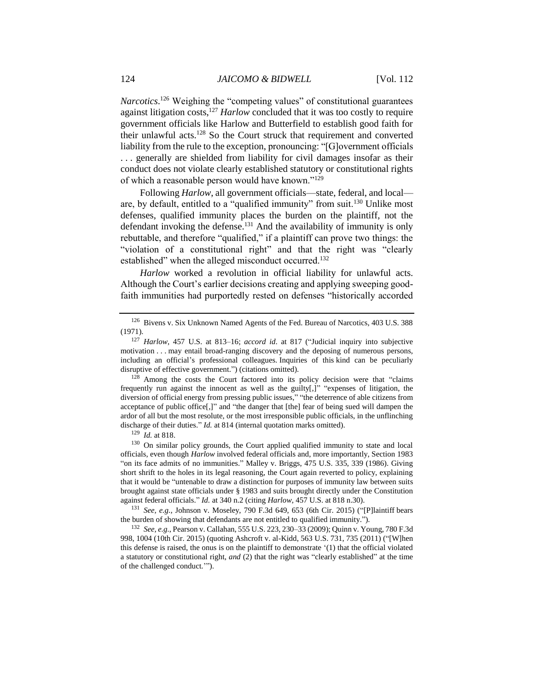Narcotics.<sup>126</sup> Weighing the "competing values" of constitutional guarantees against litigation costs,<sup>127</sup> *Harlow* concluded that it was too costly to require government officials like Harlow and Butterfield to establish good faith for their unlawful acts.<sup>128</sup> So the Court struck that requirement and converted liability from the rule to the exception, pronouncing: "[G]overnment officials . . . generally are shielded from liability for civil damages insofar as their conduct does not violate clearly established statutory or constitutional rights of which a reasonable person would have known."<sup>129</sup>

Following *Harlow*, all government officials—state, federal, and local are, by default, entitled to a "qualified immunity" from suit.<sup>130</sup> Unlike most defenses, qualified immunity places the burden on the plaintiff, not the defendant invoking the defense.<sup>131</sup> And the availability of immunity is only rebuttable, and therefore "qualified," if a plaintiff can prove two things: the "violation of a constitutional right" and that the right was "clearly established" when the alleged misconduct occurred.<sup>132</sup>

*Harlow* worked a revolution in official liability for unlawful acts. Although the Court's earlier decisions creating and applying sweeping goodfaith immunities had purportedly rested on defenses "historically accorded

 $128$  Among the costs the Court factored into its policy decision were that "claims" frequently run against the innocent as well as the guilty[,]" "expenses of litigation, the diversion of official energy from pressing public issues," "the deterrence of able citizens from acceptance of public office[,]" and "the danger that [the] fear of being sued will dampen the ardor of all but the most resolute, or the most irresponsible public officials, in the unflinching discharge of their duties." *Id.* at 814 (internal quotation marks omitted).

<sup>129</sup> *Id.* at 818.

<sup>130</sup> On similar policy grounds, the Court applied qualified immunity to state and local officials, even though *Harlow* involved federal officials and, more importantly, Section 1983 "on its face admits of no immunities." Malley v. Briggs, 475 U.S. 335, 339 (1986). Giving short shrift to the holes in its legal reasoning, the Court again reverted to policy, explaining that it would be "untenable to draw a distinction for purposes of immunity law between suits brought against state officials under § 1983 and suits brought directly under the Constitution against federal officials." *Id.* at 340 n.2 (citing *Harlow*, 457 U.S. at 818 n.30).

<sup>131</sup> *See, e.g.*, Johnson v. Moseley, 790 F.3d 649, 653 (6th Cir. 2015) ("[P]laintiff bears the burden of showing that defendants are not entitled to qualified immunity.").

<sup>132</sup> *See, e.g.*, Pearson v. Callahan, 555 U.S. 223, 230–33 (2009); Quinn v. Young, 780 F.3d 998, 1004 (10th Cir. 2015) (quoting Ashcroft v. al-Kidd, 563 U.S. 731, 735 (2011) ("[W]hen this defense is raised, the onus is on the plaintiff to demonstrate '(1) that the official violated a statutory or constitutional right, *and* (2) that the right was "clearly established" at the time of the challenged conduct.'").

<sup>126</sup> Bivens v. Six Unknown Named Agents of the Fed. Bureau of Narcotics, 403 U.S. 388 (1971).

<sup>127</sup> *Harlow*, 457 U.S. at 813–16; *accord id*. at 817 ("Judicial inquiry into subjective motivation . . . may entail broad-ranging discovery and the deposing of numerous persons, including an official's professional colleagues. Inquiries of this kind can be peculiarly disruptive of effective government.") (citations omitted).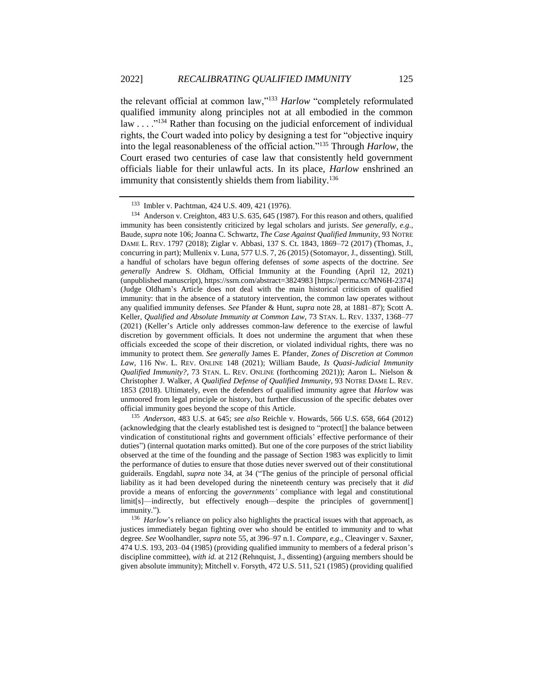the relevant official at common law,"<sup>133</sup> *Harlow* "completely reformulated qualified immunity along principles not at all embodied in the common law  $\dots$ <sup>3134</sup> Rather than focusing on the judicial enforcement of individual rights, the Court waded into policy by designing a test for "objective inquiry into the legal reasonableness of the official action."<sup>135</sup> Through *Harlow*, the Court erased two centuries of case law that consistently held government officials liable for their unlawful acts. In its place, *Harlow* enshrined an immunity that consistently shields them from liability.<sup>136</sup>

<sup>134</sup> Anderson v. Creighton, 483 U.S. 635, 645 (1987). For this reason and others, qualified immunity has been consistently criticized by legal scholars and jurists. *See generally, e.g.*, Baude, *supra* not[e 106;](#page-17-0) Joanna C. Schwartz, *The Case Against Qualified Immunity*, 93 NOTRE DAME L. REV. 1797 (2018); Ziglar v. Abbasi, 137 S. Ct. 1843, 1869–72 (2017) (Thomas, J., concurring in part); Mullenix v. Luna, 577 U.S. 7, 26 (2015) (Sotomayor, J., dissenting). Still, a handful of scholars have begun offering defenses of *some* aspects of the doctrine. *See generally* Andrew S. Oldham, Official Immunity at the Founding (April 12, 2021) (unpublished manuscript), https://ssrn.com/abstract=3824983 [https://perma.cc/MN6H-2374] (Judge Oldham's Article does not deal with the main historical criticism of qualified immunity: that in the absence of a statutory intervention, the common law operates without any qualified immunity defenses. *See* Pfander & Hunt, *supra* note [28,](#page-6-0) at 1881–87); Scott A. Keller, *Qualified and Absolute Immunity at Common Law*, 73 STAN. L. REV. 1337, 1368–77 (2021) (Keller's Article only addresses common-law deference to the exercise of lawful discretion by government officials. It does not undermine the argument that when these officials exceeded the scope of their discretion, or violated individual rights, there was no immunity to protect them. *See generally* James E. Pfander, *Zones of Discretion at Common Law*, 116 NW. L. REV. ONLINE 148 (2021); William Baude, *Is Quasi-Judicial Immunity Qualified Immunity?*, 73 STAN. L. REV. ONLINE (forthcoming 2021)); Aaron L. Nielson & Christopher J. Walker, *A Qualified Defense of Qualified Immunity*, 93 NOTRE DAME L. REV. 1853 (2018). Ultimately, even the defenders of qualified immunity agree that *Harlow* was unmoored from legal principle or history, but further discussion of the specific debates over official immunity goes beyond the scope of this Article.

<sup>135</sup> *Anderson*, 483 U.S. at 645; *see also* Reichle v. Howards, 566 U.S. 658, 664 (2012) (acknowledging that the clearly established test is designed to "protect[] the balance between vindication of constitutional rights and government officials' effective performance of their duties") (internal quotation marks omitted). But one of the core purposes of the strict liability observed at the time of the founding and the passage of Section 1983 was explicitly to limit the performance of duties to ensure that those duties never swerved out of their constitutional guiderails. Engdahl, *supra* note [34,](#page-7-0) at 34 ("The genius of the principle of personal official liability as it had been developed during the nineteenth century was precisely that it *did*  provide a means of enforcing the *governments'* compliance with legal and constitutional limit[s]—indirectly, but effectively enough—despite the principles of government[] immunity.").

<sup>136</sup> *Harlow*'s reliance on policy also highlights the practical issues with that approach, as justices immediately began fighting over who should be entitled to immunity and to what degree. *See* Woolhandler, *supra* not[e 55,](#page-9-1) at 396–97 n.1. *Compare, e.g.*, Cleavinger v. Saxner, 474 U.S. 193, 203–04 (1985) (providing qualified immunity to members of a federal prison's discipline committee), *with id.* at 212 (Rehnquist, J., dissenting) (arguing members should be given absolute immunity); Mitchell v. Forsyth, 472 U.S. 511, 521 (1985) (providing qualified

<sup>133</sup> Imbler v. Pachtman, 424 U.S. 409, 421 (1976).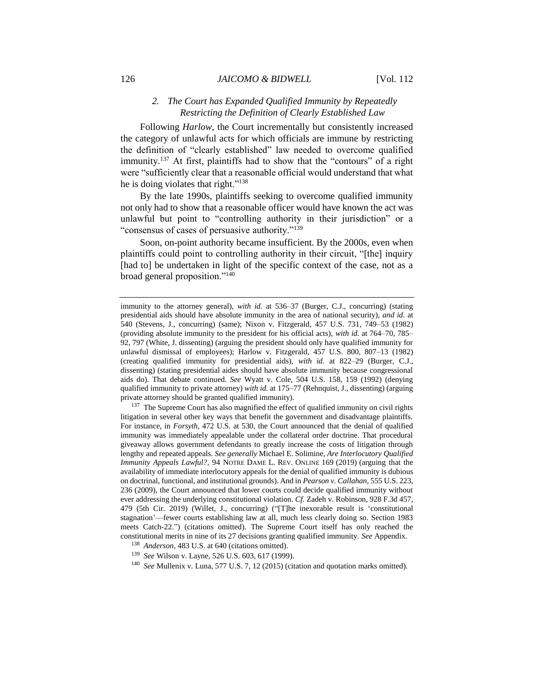#### *2. The Court has Expanded Qualified Immunity by Repeatedly Restricting the Definition of Clearly Established Law*

Following *Harlow*, the Court incrementally but consistently increased the category of unlawful acts for which officials are immune by restricting the definition of "clearly established" law needed to overcome qualified immunity.<sup>137</sup> At first, plaintiffs had to show that the "contours" of a right were "sufficiently clear that a reasonable official would understand that what he is doing violates that right."<sup>138</sup>

By the late 1990s, plaintiffs seeking to overcome qualified immunity not only had to show that a reasonable officer would have known the act was unlawful but point to "controlling authority in their jurisdiction" or a "consensus of cases of persuasive authority."<sup>139</sup>

Soon, on-point authority became insufficient. By the 2000s, even when plaintiffs could point to controlling authority in their circuit, "[the] inquiry [had to] be undertaken in light of the specific context of the case, not as a broad general proposition."<sup>140</sup>

 $137$  The Supreme Court has also magnified the effect of qualified immunity on civil rights litigation in several other key ways that benefit the government and disadvantage plaintiffs. For instance, in *Forsyth*, 472 U.S. at 530, the Court announced that the denial of qualified immunity was immediately appealable under the collateral order doctrine. That procedural giveaway allows government defendants to greatly increase the costs of litigation through lengthy and repeated appeals. *See generally* Michael E. Solimine, *Are Interlocutory Qualified Immunity Appeals Lawful?*, 94 NOTRE DAME L. REV. ONLINE 169 (2019) (arguing that the availability of immediate interlocutory appeals for the denial of qualified immunity is dubious on doctrinal, functional, and institutional grounds). And in *Pearson v. Callahan*, 555 U.S. 223, 236 (2009), the Court announced that lower courts could decide qualified immunity without ever addressing the underlying constitutional violation. *Cf.* Zadeh v. Robinson, 928 F.3d 457, 479 (5th Cir. 2019) (Willet, J., concurring) ("[T]he inexorable result is 'constitutional stagnation'—fewer courts establishing law at all, much less clearly doing so. Section 1983 meets Catch-22.") (citations omitted). The Supreme Court itself has only reached the constitutional merits in nine of its 27 decisions granting qualified immunity. *See* Appendix.

- <sup>138</sup> *Anderson*, 483 U.S. at 640 (citations omitted).
- <sup>139</sup> *See* Wilson v. Layne, 526 U.S. 603, 617 (1999).
- <sup>140</sup> *See* Mullenix v. Luna, 577 U.S. 7, 12 (2015) (citation and quotation marks omitted).

immunity to the attorney general), *with id.* at 536–37 (Burger, C.J., concurring) (stating presidential aids should have absolute immunity in the area of national security), *and id.* at 540 (Stevens, J., concurring) (same); Nixon v. Fitzgerald, 457 U.S. 731, 749–53 (1982) (providing absolute immunity to the president for his official acts), *with id.* at 764–70, 785– 92, 797 (White, J. dissenting) (arguing the president should only have qualified immunity for unlawful dismissal of employees); Harlow v. Fitzgerald, 457 U.S. 800, 807–13 (1982) (creating qualified immunity for presidential aids), *with id.* at 822–29 (Burger, C.J., dissenting) (stating presidential aides should have absolute immunity because congressional aids do). That debate continued. *See* Wyatt v. Cole, 504 U.S. 158, 159 (1992) (denying qualified immunity to private attorney) *with id.* at 175–77 (Rehnquist, J., dissenting) (arguing private attorney should be granted qualified immunity).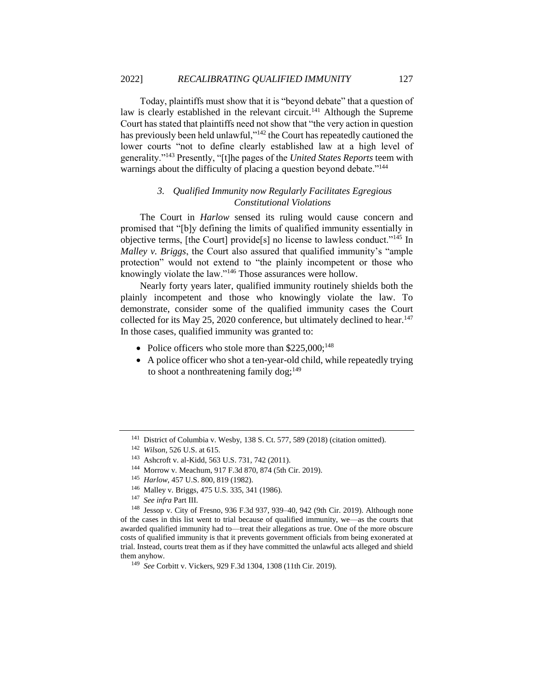Today, plaintiffs must show that it is "beyond debate" that a question of law is clearly established in the relevant circuit.<sup>141</sup> Although the Supreme Court has stated that plaintiffs need not show that "the very action in question has previously been held unlawful,"<sup>142</sup> the Court has repeatedly cautioned the lower courts "not to define clearly established law at a high level of generality."<sup>143</sup> Presently, "[t]he pages of the *United States Reports* teem with warnings about the difficulty of placing a question beyond debate."<sup>144</sup>

#### *3. Qualified Immunity now Regularly Facilitates Egregious Constitutional Violations*

The Court in *Harlow* sensed its ruling would cause concern and promised that "[b]y defining the limits of qualified immunity essentially in objective terms, [the Court] provide[s] no license to lawless conduct."<sup>145</sup> In *Malley v. Briggs*, the Court also assured that qualified immunity's "ample protection" would not extend to "the plainly incompetent or those who knowingly violate the law."<sup>146</sup> Those assurances were hollow.

Nearly forty years later, qualified immunity routinely shields both the plainly incompetent and those who knowingly violate the law. To demonstrate, consider some of the qualified immunity cases the Court collected for its May 25, 2020 conference, but ultimately declined to hear.<sup>147</sup> In those cases, qualified immunity was granted to:

- Police officers who stole more than  $$225,000;^{148}$
- A police officer who shot a ten-year-old child, while repeatedly trying to shoot a nonthreatening family  $\log_1^{149}$

- <sup>144</sup> Morrow v. Meachum, 917 F.3d 870, 874 (5th Cir. 2019).
- <sup>145</sup> *Harlow*, 457 U.S. 800, 819 (1982).
- <sup>146</sup> Malley v. Briggs, 475 U.S. 335, 341 (1986).
- <sup>147</sup> *See infra* Part III.

<sup>148</sup> Jessop v. City of Fresno, 936 F.3d 937, 939–40, 942 (9th Cir. 2019). Although none of the cases in this list went to trial because of qualified immunity, we—as the courts that awarded qualified immunity had to—treat their allegations as true. One of the more obscure costs of qualified immunity is that it prevents government officials from being exonerated at trial. Instead, courts treat them as if they have committed the unlawful acts alleged and shield them anyhow.

<sup>141</sup> District of Columbia v. Wesby, 138 S. Ct. 577, 589 (2018) (citation omitted).

<sup>142</sup> *Wilson*, 526 U.S. at 615.

<sup>143</sup> Ashcroft v. al-Kidd, 563 U.S. 731, 742 (2011).

<sup>149</sup> *See* Corbitt v. Vickers, 929 F.3d 1304, 1308 (11th Cir. 2019).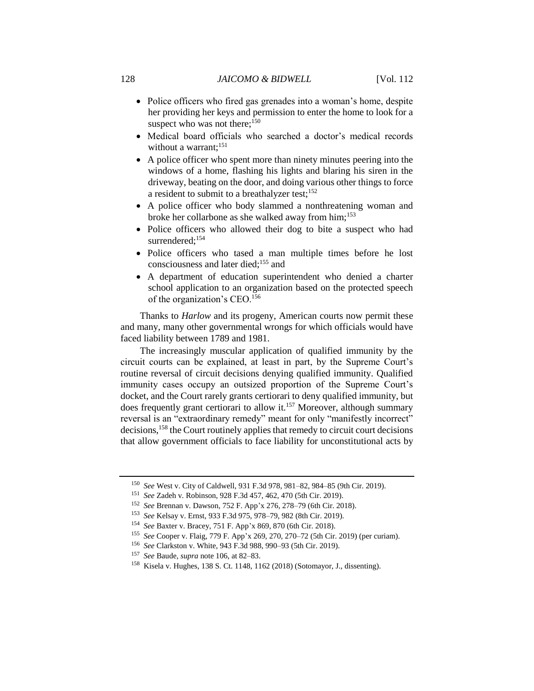- Police officers who fired gas grenades into a woman's home, despite her providing her keys and permission to enter the home to look for a suspect who was not there; $150$
- Medical board officials who searched a doctor's medical records without a warrant:<sup>151</sup>
- A police officer who spent more than ninety minutes peering into the windows of a home, flashing his lights and blaring his siren in the driveway, beating on the door, and doing various other things to force a resident to submit to a breathalyzer test;<sup>152</sup>
- A police officer who body slammed a nonthreatening woman and broke her collarbone as she walked away from him;<sup>153</sup>
- Police officers who allowed their dog to bite a suspect who had surrendered:<sup>154</sup>
- Police officers who tased a man multiple times before he lost consciousness and later died;<sup>155</sup> and
- A department of education superintendent who denied a charter school application to an organization based on the protected speech of the organization's CEO.<sup>156</sup>

Thanks to *Harlow* and its progeny, American courts now permit these and many, many other governmental wrongs for which officials would have faced liability between 1789 and 1981.

The increasingly muscular application of qualified immunity by the circuit courts can be explained, at least in part, by the Supreme Court's routine reversal of circuit decisions denying qualified immunity. Qualified immunity cases occupy an outsized proportion of the Supreme Court's docket, and the Court rarely grants certiorari to deny qualified immunity, but does frequently grant certiorari to allow it.<sup>157</sup> Moreover, although summary reversal is an "extraordinary remedy" meant for only "manifestly incorrect" decisions,<sup>158</sup> the Court routinely applies that remedy to circuit court decisions that allow government officials to face liability for unconstitutional acts by

<sup>150</sup> *See* West v. City of Caldwell, 931 F.3d 978, 981–82, 984–85 (9th Cir. 2019).

<sup>151</sup> *See* Zadeh v. Robinson, 928 F.3d 457, 462, 470 (5th Cir. 2019).

<sup>152</sup> *See* Brennan v. Dawson, 752 F. App'x 276, 278–79 (6th Cir. 2018).

<sup>153</sup> *See* Kelsay v. Ernst, 933 F.3d 975, 978–79, 982 (8th Cir. 2019).

<sup>154</sup> *See* Baxter v. Bracey, 751 F. App'x 869, 870 (6th Cir. 2018).

<sup>155</sup> *See* Cooper v. Flaig, 779 F. App'x 269, 270, 270–72 (5th Cir. 2019) (per curiam).

<sup>156</sup> *See* Clarkston v. White, 943 F.3d 988, 990–93 (5th Cir. 2019).

<sup>157</sup> *See* Baude, *supra* not[e 106,](#page-17-0) at 82–83.

<sup>158</sup> Kisela v. Hughes, 138 S. Ct. 1148, 1162 (2018) (Sotomayor, J., dissenting).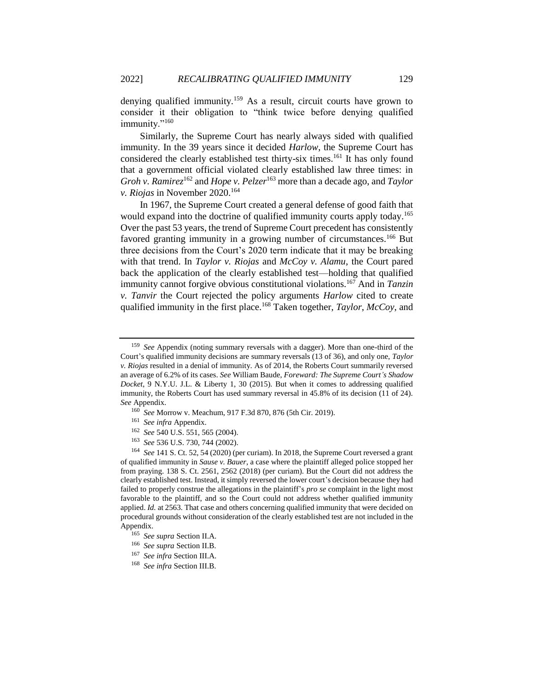<span id="page-25-0"></span>denying qualified immunity.<sup>159</sup> As a result, circuit courts have grown to consider it their obligation to "think twice before denying qualified immunity."<sup>160</sup>

Similarly, the Supreme Court has nearly always sided with qualified immunity. In the 39 years since it decided *Harlow*, the Supreme Court has considered the clearly established test thirty-six times.<sup>161</sup> It has only found that a government official violated clearly established law three times: in *Groh v. Ramirez*<sup>162</sup> and *Hope v. Pelzer*<sup>163</sup> more than a decade ago, and *Taylor v. Riojas* in November 2020.<sup>164</sup>

In 1967, the Supreme Court created a general defense of good faith that would expand into the doctrine of qualified immunity courts apply today.<sup>165</sup> Over the past 53 years, the trend of Supreme Court precedent has consistently favored granting immunity in a growing number of circumstances.<sup>166</sup> But three decisions from the Court's 2020 term indicate that it may be breaking with that trend. In *Taylor v. Riojas* and *McCoy v. Alamu*, the Court pared back the application of the clearly established test—holding that qualified immunity cannot forgive obvious constitutional violations.<sup>167</sup> And in *Tanzin v. Tanvir* the Court rejected the policy arguments *Harlow* cited to create qualified immunity in the first place.<sup>168</sup> Taken together, *Taylor*, *McCoy*, and

- <sup>161</sup> *See infra* Appendix.
- <sup>162</sup> *See* 540 U.S. 551, 565 (2004).
- <sup>163</sup> *See* 536 U.S. 730, 744 (2002).

- <sup>165</sup> *See supra* Section II.A.
- <sup>166</sup> *See supra* Section II.B.
- <sup>167</sup> *See infra* Section III.A.
- <sup>168</sup> *See infra* Section III.B.

<sup>159</sup> *See* Appendix (noting summary reversals with a dagger). More than one-third of the Court's qualified immunity decisions are summary reversals (13 of 36), and only one, *Taylor v. Riojas* resulted in a denial of immunity. As of 2014, the Roberts Court summarily reversed an average of 6.2% of its cases. *See* William Baude, *Foreward: The Supreme Court's Shadow Docket*, 9 N.Y.U. J.L. & Liberty 1, 30 (2015). But when it comes to addressing qualified immunity, the Roberts Court has used summary reversal in 45.8% of its decision (11 of 24). *See* Appendix.

<sup>160</sup> *See* Morrow v. Meachum, 917 F.3d 870, 876 (5th Cir. 2019).

<sup>164</sup> *See* 141 S. Ct. 52, 54 (2020) (per curiam). In 2018, the Supreme Court reversed a grant of qualified immunity in *Sause v. Bauer*, a case where the plaintiff alleged police stopped her from praying. 138 S. Ct. 2561, 2562 (2018) (per curiam). But the Court did not address the clearly established test. Instead, it simply reversed the lower court's decision because they had failed to properly construe the allegations in the plaintiff's *pro se* complaint in the light most favorable to the plaintiff, and so the Court could not address whether qualified immunity applied. *Id.* at 2563. That case and others concerning qualified immunity that were decided on procedural grounds without consideration of the clearly established test are not included in the Appendix.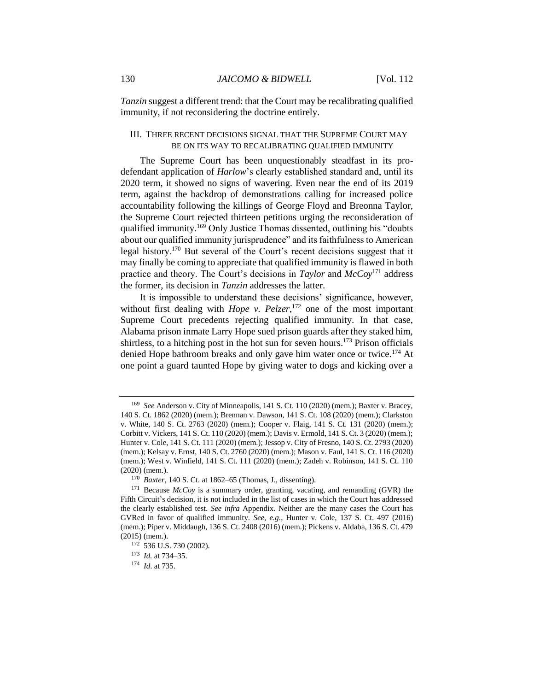*Tanzin* suggest a different trend: that the Court may be recalibrating qualified immunity, if not reconsidering the doctrine entirely.

#### III. THREE RECENT DECISIONS SIGNAL THAT THE SUPREME COURT MAY BE ON ITS WAY TO RECALIBRATING QUALIFIED IMMUNITY

<span id="page-26-0"></span>The Supreme Court has been unquestionably steadfast in its prodefendant application of *Harlow*'s clearly established standard and, until its 2020 term, it showed no signs of wavering. Even near the end of its 2019 term, against the backdrop of demonstrations calling for increased police accountability following the killings of George Floyd and Breonna Taylor, the Supreme Court rejected thirteen petitions urging the reconsideration of qualified immunity.<sup>169</sup> Only Justice Thomas dissented, outlining his "doubts" about our qualified immunity jurisprudence" and its faithfulness to American legal history.<sup>170</sup> But several of the Court's recent decisions suggest that it may finally be coming to appreciate that qualified immunity is flawed in both practice and theory. The Court's decisions in *Taylor* and *McCoy*<sup>171</sup> address the former, its decision in *Tanzin* addresses the latter.

It is impossible to understand these decisions' significance, however, without first dealing with *Hope v. Pelzer*, <sup>172</sup> one of the most important Supreme Court precedents rejecting qualified immunity. In that case, Alabama prison inmate Larry Hope sued prison guards after they staked him, shirtless, to a hitching post in the hot sun for seven hours.<sup>173</sup> Prison officials denied Hope bathroom breaks and only gave him water once or twice.<sup>174</sup> At one point a guard taunted Hope by giving water to dogs and kicking over a

<sup>169</sup> *See* Anderson v. City of Minneapolis, 141 S. Ct. 110 (2020) (mem.); Baxter v. Bracey, 140 S. Ct. 1862 (2020) (mem.); Brennan v. Dawson, 141 S. Ct. 108 (2020) (mem.); Clarkston v. White, 140 S. Ct. 2763 (2020) (mem.); Cooper v. Flaig, 141 S. Ct. 131 (2020) (mem.); Corbitt v. Vickers, 141 S. Ct. 110 (2020) (mem.); Davis v. Ermold, 141 S. Ct. 3 (2020) (mem.); Hunter v. Cole, 141 S. Ct. 111 (2020) (mem.); Jessop v. City of Fresno, 140 S. Ct. 2793 (2020) (mem.); Kelsay v. Ernst, 140 S. Ct. 2760 (2020) (mem.); Mason v. Faul, 141 S. Ct. 116 (2020) (mem.); West v. Winfield, 141 S. Ct. 111 (2020) (mem.); Zadeh v. Robinson, 141 S. Ct. 110 (2020) (mem.).

<sup>170</sup> *Baxter*, 140 S. Ct. at 1862–65 (Thomas, J., dissenting).

<sup>171</sup> Because *McCoy* is a summary order, granting, vacating, and remanding (GVR) the Fifth Circuit's decision, it is not included in the list of cases in which the Court has addressed the clearly established test. *See infra* Appendix. Neither are the many cases the Court has GVRed in favor of qualified immunity. *See, e.g.*, Hunter v. Cole, 137 S. Ct. 497 (2016) (mem.); Piper v. Middaugh, 136 S. Ct. 2408 (2016) (mem.); Pickens v. Aldaba, 136 S. Ct. 479 (2015) (mem.).

<sup>172</sup> 536 U.S. 730 (2002).

<sup>173</sup> *Id.* at 734–35.

<sup>174</sup> *Id*. at 735.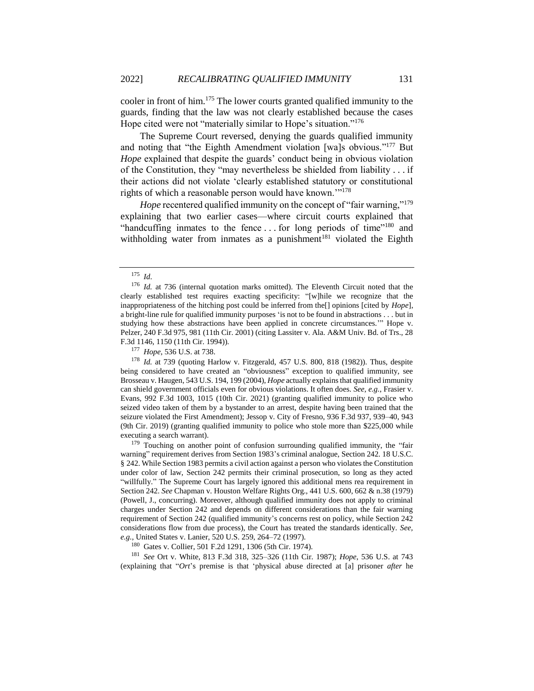cooler in front of him.<sup>175</sup> The lower courts granted qualified immunity to the guards, finding that the law was not clearly established because the cases Hope cited were not "materially similar to Hope's situation."<sup>176</sup>

The Supreme Court reversed, denying the guards qualified immunity and noting that "the Eighth Amendment violation [wa]s obvious."<sup>177</sup> But *Hope* explained that despite the guards' conduct being in obvious violation of the Constitution, they "may nevertheless be shielded from liability . . . if their actions did not violate 'clearly established statutory or constitutional rights of which a reasonable person would have known.'"<sup>178</sup>

*Hope* recentered qualified immunity on the concept of "fair warning,"<sup>179</sup> explaining that two earlier cases—where circuit courts explained that "handcuffing inmates to the fence ... for long periods of time"<sup>180</sup> and withholding water from inmates as a punishment<sup>181</sup> violated the Eighth

<sup>177</sup> *Hope*, 536 U.S. at 738.

<sup>178</sup> *Id.* at 739 (quoting Harlow v. Fitzgerald, 457 U.S. 800, 818 (1982)). Thus, despite being considered to have created an "obviousness" exception to qualified immunity, see Brosseau v. Haugen, 543 U.S. 194, 199 (2004), *Hope* actually explains that qualified immunity can shield government officials even for obvious violations. It often does. *See, e.g.*, Frasier v. Evans, 992 F.3d 1003, 1015 (10th Cir. 2021) (granting qualified immunity to police who seized video taken of them by a bystander to an arrest, despite having been trained that the seizure violated the First Amendment); Jessop v. City of Fresno, 936 F.3d 937, 939–40, 943 (9th Cir. 2019) (granting qualified immunity to police who stole more than \$225,000 while executing a search warrant).

<sup>179</sup> Touching on another point of confusion surrounding qualified immunity, the "fair warning" requirement derives from Section 1983's criminal analogue, Section 242. 18 U.S.C. § 242. While Section 1983 permits a civil action against a person who violates the Constitution under color of law, Section 242 permits their criminal prosecution, so long as they acted "willfully." The Supreme Court has largely ignored this additional mens rea requirement in Section 242. *See* Chapman v. Houston Welfare Rights Org., 441 U.S. 600, 662 & n.38 (1979) (Powell, J., concurring). Moreover, although qualified immunity does not apply to criminal charges under Section 242 and depends on different considerations than the fair warning requirement of Section 242 (qualified immunity's concerns rest on policy, while Section 242 considerations flow from due process), the Court has treated the standards identically. *See, e.g.*, United States v. Lanier, 520 U.S. 259, 264–72 (1997).

<sup>180</sup> Gates v. Collier, 501 F.2d 1291, 1306 (5th Cir. 1974).

<sup>181</sup> *See* Ort v. White, 813 F.3d 318, 325–326 (11th Cir. 1987); *Hope*, 536 U.S. at 743 (explaining that "*Ort*'s premise is that 'physical abuse directed at [a] prisoner *after* he

<sup>175</sup> *Id*.

<sup>&</sup>lt;sup>176</sup> *Id.* at 736 (internal quotation marks omitted). The Eleventh Circuit noted that the clearly established test requires exacting specificity: "[w]hile we recognize that the inappropriateness of the hitching post could be inferred from the[] opinions [cited by *Hope*], a bright-line rule for qualified immunity purposes 'is not to be found in abstractions . . . but in studying how these abstractions have been applied in concrete circumstances.'" Hope v. Pelzer, 240 F.3d 975, 981 (11th Cir. 2001) (citing Lassiter v. Ala. A&M Univ. Bd. of Trs., 28 F.3d 1146, 1150 (11th Cir. 1994)).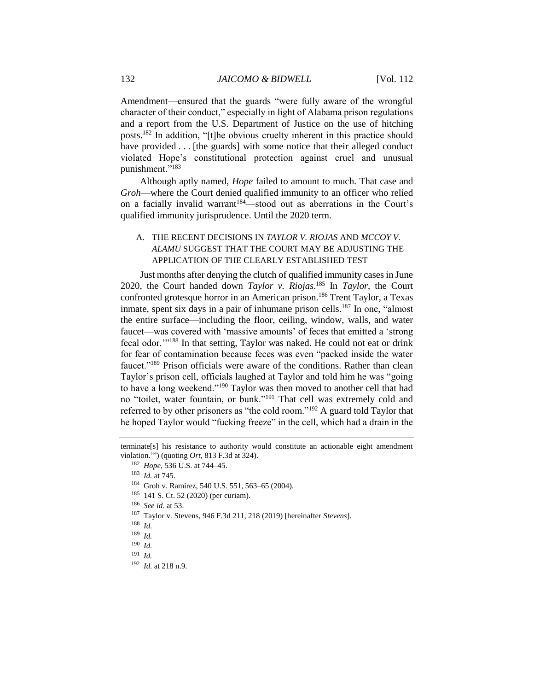Amendment—ensured that the guards "were fully aware of the wrongful character of their conduct," especially in light of Alabama prison regulations and a report from the U.S. Department of Justice on the use of hitching posts.<sup>182</sup> In addition, "[t]he obvious cruelty inherent in this practice should have provided . . . [the guards] with some notice that their alleged conduct violated Hope's constitutional protection against cruel and unusual punishment."<sup>183</sup>

Although aptly named, *Hope* failed to amount to much. That case and *Groh*—where the Court denied qualified immunity to an officer who relied on a facially invalid warrant<sup>184</sup>—stood out as aberrations in the Court's qualified immunity jurisprudence. Until the 2020 term.

#### A. THE RECENT DECISIONS IN *TAYLOR V. RIOJAS* AND *MCCOY V. ALAMU* SUGGEST THAT THE COURT MAY BE ADJUSTING THE APPLICATION OF THE CLEARLY ESTABLISHED TEST

Just months after denying the clutch of qualified immunity cases in June 2020, the Court handed down *Taylor v. Riojas*. <sup>185</sup> In *Taylor*, the Court confronted grotesque horror in an American prison.<sup>186</sup> Trent Taylor, a Texas inmate, spent six days in a pair of inhumane prison cells.<sup>187</sup> In one, "almost" the entire surface—including the floor, ceiling, window, walls, and water faucet—was covered with 'massive amounts' of feces that emitted a 'strong fecal odor.'"<sup>188</sup> In that setting, Taylor was naked. He could not eat or drink for fear of contamination because feces was even "packed inside the water faucet."<sup>189</sup> Prison officials were aware of the conditions. Rather than clean Taylor's prison cell, officials laughed at Taylor and told him he was "going to have a long weekend."<sup>190</sup> Taylor was then moved to another cell that had no "toilet, water fountain, or bunk."<sup>191</sup> That cell was extremely cold and referred to by other prisoners as "the cold room."<sup>192</sup> A guard told Taylor that he hoped Taylor would "fucking freeze" in the cell, which had a drain in the

<sup>185</sup> 141 S. Ct. 52 (2020) (per curiam).

<sup>189</sup> *Id.*

<sup>191</sup> *Id.*

terminate[s] his resistance to authority would constitute an actionable eight amendment violation.'") (quoting *Ort*, 813 F.3d at 324).

<sup>182</sup> *Hope*, 536 U.S. at 744–45.

<sup>183</sup> *Id.* at 745.

<sup>184</sup> Groh v. Ramirez, 540 U.S. 551, 563–65 (2004).

<sup>186</sup> *See id.* at 53.

<sup>187</sup> Taylor v. Stevens, 946 F.3d 211, 218 (2019) [hereinafter *Stevens*].

<sup>188</sup> *Id.*

<sup>190</sup> *Id.*

<sup>192</sup> *Id.* at 218 n.9.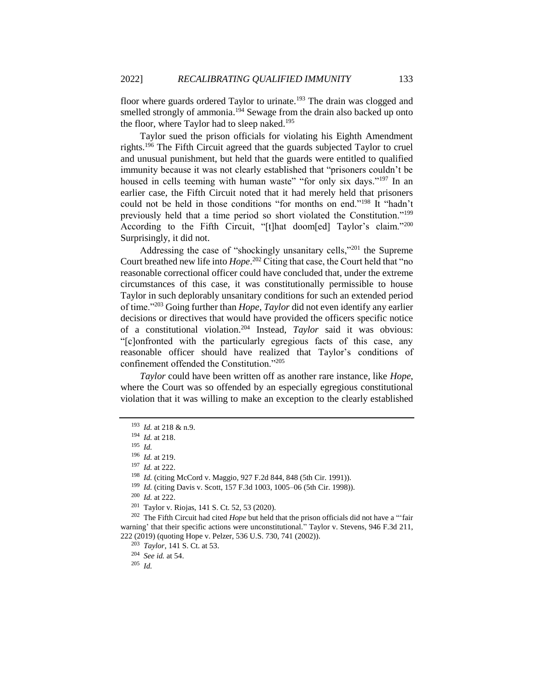floor where guards ordered Taylor to urinate.<sup>193</sup> The drain was clogged and smelled strongly of ammonia.<sup>194</sup> Sewage from the drain also backed up onto the floor, where Taylor had to sleep naked.<sup>195</sup>

Taylor sued the prison officials for violating his Eighth Amendment rights.<sup>196</sup> The Fifth Circuit agreed that the guards subjected Taylor to cruel and unusual punishment, but held that the guards were entitled to qualified immunity because it was not clearly established that "prisoners couldn't be housed in cells teeming with human waste" "for only six days."<sup>197</sup> In an earlier case, the Fifth Circuit noted that it had merely held that prisoners could not be held in those conditions "for months on end."<sup>198</sup> It "hadn't previously held that a time period so short violated the Constitution."<sup>199</sup> According to the Fifth Circuit, "[t]hat doom[ed] Taylor's claim."200 Surprisingly, it did not.

Addressing the case of "shockingly unsanitary cells,"<sup>201</sup> the Supreme Court breathed new life into *Hope*. <sup>202</sup> Citing that case, the Court held that "no reasonable correctional officer could have concluded that, under the extreme circumstances of this case, it was constitutionally permissible to house Taylor in such deplorably unsanitary conditions for such an extended period of time."<sup>203</sup> Going further than *Hope*, *Taylor* did not even identify any earlier decisions or directives that would have provided the officers specific notice of a constitutional violation.<sup>204</sup> Instead, *Taylor* said it was obvious: "[c]onfronted with the particularly egregious facts of this case, any reasonable officer should have realized that Taylor's conditions of confinement offended the Constitution."<sup>205</sup>

*Taylor* could have been written off as another rare instance, like *Hope*, where the Court was so offended by an especially egregious constitutional violation that it was willing to make an exception to the clearly established

<sup>200</sup> *Id.* at 222.

<sup>204</sup> *See id.* at 54.

<sup>205</sup> *Id.*

<sup>193</sup> *Id.* at 218 & n.9.

<sup>194</sup> *Id.* at 218.

<sup>195</sup> *Id.*

<sup>196</sup> *Id.* at 219.

<sup>197</sup> *Id.* at 222.

<sup>198</sup> *Id.* (citing McCord v. Maggio, 927 F.2d 844, 848 (5th Cir. 1991)).

<sup>199</sup> *Id.* (citing Davis v. Scott, 157 F.3d 1003, 1005–06 (5th Cir. 1998)).

 $201$  Taylor v. Riojas, 141 S. Ct. 52, 53 (2020).

<sup>202</sup> The Fifth Circuit had cited *Hope* but held that the prison officials did not have a "'fair warning' that their specific actions were unconstitutional." Taylor v. Stevens, 946 F.3d 211, 222 (2019) (quoting Hope v. Pelzer, 536 U.S. 730, 741 (2002)).

<sup>203</sup> *Taylor*, 141 S. Ct. at 53.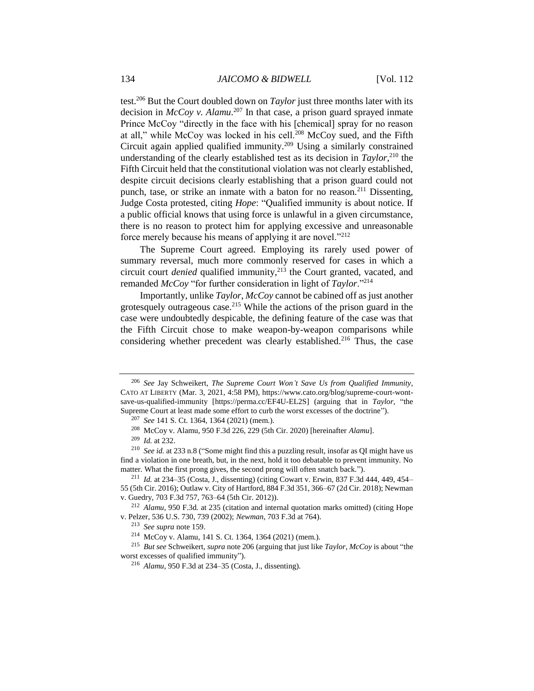<span id="page-30-0"></span>test.<sup>206</sup> But the Court doubled down on *Taylor* just three months later with its decision in *McCoy v. Alamu*. <sup>207</sup> In that case, a prison guard sprayed inmate Prince McCoy "directly in the face with his [chemical] spray for no reason at all," while McCoy was locked in his cell.<sup>208</sup> McCoy sued, and the Fifth Circuit again applied qualified immunity.<sup>209</sup> Using a similarly constrained understanding of the clearly established test as its decision in  $Taylor^{210}$ , the Fifth Circuit held that the constitutional violation was not clearly established, despite circuit decisions clearly establishing that a prison guard could not punch, tase, or strike an inmate with a baton for no reason.<sup>211</sup> Dissenting, Judge Costa protested, citing *Hope*: "Qualified immunity is about notice. If a public official knows that using force is unlawful in a given circumstance, there is no reason to protect him for applying excessive and unreasonable force merely because his means of applying it are novel."<sup>212</sup>

The Supreme Court agreed. Employing its rarely used power of summary reversal, much more commonly reserved for cases in which a circuit court *denied* qualified immunity,<sup>213</sup> the Court granted, vacated, and remanded *McCoy* "for further consideration in light of *Taylor*."<sup>214</sup>

Importantly, unlike *Taylor*, *McCoy* cannot be cabined off as just another grotesquely outrageous case.<sup>215</sup> While the actions of the prison guard in the case were undoubtedly despicable, the defining feature of the case was that the Fifth Circuit chose to make weapon-by-weapon comparisons while considering whether precedent was clearly established.<sup>216</sup> Thus, the case

<sup>206</sup> *See* Jay Schweikert, *The Supreme Court Won't Save Us from Qualified Immunity*, CATO AT LIBERTY (Mar. 3, 2021, 4:58 PM), https://www.cato.org/blog/supreme-court-wontsave-us-qualified-immunity [https://perma.cc/EF4U-EL2S] (arguing that in *Taylor*, "the Supreme Court at least made some effort to curb the worst excesses of the doctrine").

<sup>207</sup> *See* 141 S. Ct. 1364, 1364 (2021) (mem.).

<sup>208</sup> McCoy v. Alamu, 950 F.3d 226, 229 (5th Cir. 2020) [hereinafter *Alamu*].

<sup>209</sup> *Id.* at 232.

<sup>210</sup> *See id.* at 233 n.8 ("Some might find this a puzzling result, insofar as QI might have us find a violation in one breath, but, in the next, hold it too debatable to prevent immunity. No matter. What the first prong gives, the second prong will often snatch back.").

<sup>211</sup> *Id.* at 234–35 (Costa, J., dissenting) (citing Cowart v. Erwin, 837 F.3d 444, 449, 454– 55 (5th Cir. 2016); Outlaw v. City of Hartford, 884 F.3d 351, 366–67 (2d Cir. 2018); Newman v. Guedry, 703 F.3d 757, 763–64 (5th Cir. 2012)).

<sup>212</sup> *Alamu*, 950 F.3d*.* at 235 (citation and internal quotation marks omitted) (citing Hope v. Pelzer, 536 U.S. 730, 739 (2002); *Newman*, 703 F.3d at 764).

<sup>213</sup> *See supra* note [159.](#page-25-0)

<sup>214</sup> McCoy v. Alamu, 141 S. Ct. 1364, 1364 (2021) (mem.).

<sup>215</sup> *But see* Schweikert, *supra* note [206](#page-30-0) (arguing that just like *Taylor*, *McCoy* is about "the worst excesses of qualified immunity").

<sup>216</sup> *Alamu*, 950 F.3d at 234–35 (Costa, J., dissenting).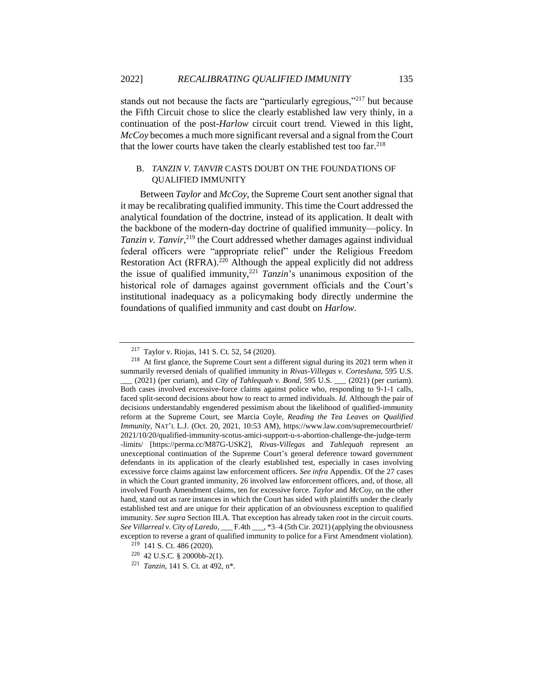stands out not because the facts are "particularly egregious,"<sup>217</sup> but because the Fifth Circuit chose to slice the clearly established law very thinly, in a continuation of the post-*Harlow* circuit court trend. Viewed in this light, *McCoy* becomes a much more significant reversal and a signal from the Court that the lower courts have taken the clearly established test too far.<sup>218</sup>

#### B. *TANZIN V. TANVIR* CASTS DOUBT ON THE FOUNDATIONS OF QUALIFIED IMMUNITY

Between *Taylor* and *McCoy*, the Supreme Court sent another signal that it may be recalibrating qualified immunity. This time the Court addressed the analytical foundation of the doctrine, instead of its application. It dealt with the backbone of the modern-day doctrine of qualified immunity—policy. In Tanzin v. Tanvir,<sup>219</sup> the Court addressed whether damages against individual federal officers were "appropriate relief" under the Religious Freedom Restoration Act  $(RFRA)$ <sup>220</sup> Although the appeal explicitly did not address the issue of qualified immunity,<sup>221</sup> *Tanzin*'s unanimous exposition of the historical role of damages against government officials and the Court's institutional inadequacy as a policymaking body directly undermine the foundations of qualified immunity and cast doubt on *Harlow*.

<sup>217</sup> Taylor v. Riojas, 141 S. Ct. 52, 54 (2020).

<sup>&</sup>lt;sup>218</sup> At first glance, the Supreme Court sent a different signal during its 2021 term when it summarily reversed denials of qualified immunity in *Rivas-Villegas v. Cortesluna*, 595 U.S. \_\_\_ (2021) (per curiam), and *City of Tahlequah v. Bond*, 595 U.S. \_\_\_ (2021) (per curiam). Both cases involved excessive-force claims against police who, responding to 9-1-1 calls, faced split-second decisions about how to react to armed individuals. *Id.* Although the pair of decisions understandably engendered pessimism about the likelihood of qualified-immunity reform at the Supreme Court, see Marcia Coyle, *Reading the Tea Leaves on Qualified Immunity*, NAT'L L.J. (Oct. 20, 2021, 10:53 AM), https://www.law.com/supremecourtbrief/ 2021/10/20/qualified-immunity-scotus-amici-support-u-s-abortion-challenge-the-judge-term -limits/ [https://perma.cc/M87G-USK2], *Rivas-Villegas* and *Tahlequah* represent an unexceptional continuation of the Supreme Court's general deference toward government defendants in its application of the clearly established test, especially in cases involving excessive force claims against law enforcement officers. *See infra* Appendix. Of the 27 cases

in which the Court granted immunity, 26 involved law enforcement officers, and, of those, all involved Fourth Amendment claims, ten for excessive force. *Taylor* and *McCoy*, on the other hand, stand out as rare instances in which the Court has sided with plaintiffs under the clearly established test and are unique for their application of an obviousness exception to qualified immunity. *See supra* Section III.A. That exception has already taken root in the circuit courts. *See Villarreal v. City of Laredo*, \_\_\_ F.4th \_\_\_, \*3–4 (5th Cir. 2021) (applying the obviousness exception to reverse a grant of qualified immunity to police for a First Amendment violation).

<sup>219</sup> 141 S. Ct. 486 (2020).

 $220$  42 U.S.C. § 2000bb-2(1).

<sup>221</sup> *Tanzin*, 141 S. Ct. at 492, n\*.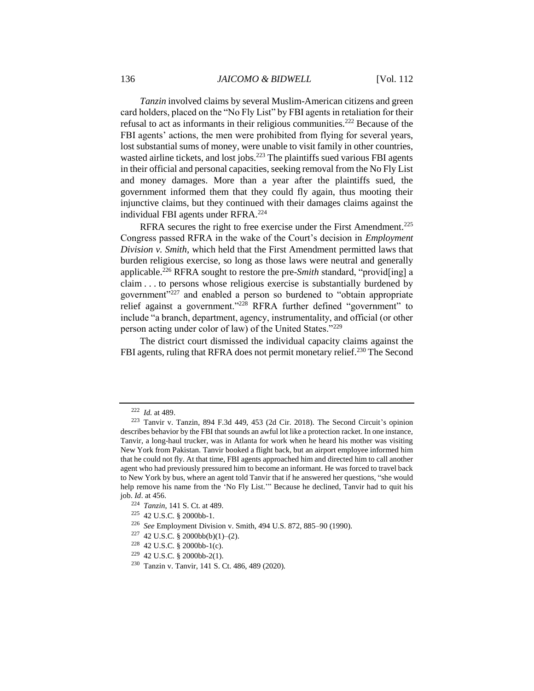*Tanzin* involved claims by several Muslim-American citizens and green card holders, placed on the "No Fly List" by FBI agents in retaliation for their refusal to act as informants in their religious communities.<sup>222</sup> Because of the FBI agents' actions, the men were prohibited from flying for several years, lost substantial sums of money, were unable to visit family in other countries, wasted airline tickets, and lost jobs.<sup>223</sup> The plaintiffs sued various FBI agents in their official and personal capacities, seeking removal from the No Fly List and money damages. More than a year after the plaintiffs sued, the government informed them that they could fly again, thus mooting their injunctive claims, but they continued with their damages claims against the individual FBI agents under RFRA.<sup>224</sup>

RFRA secures the right to free exercise under the First Amendment.<sup>225</sup> Congress passed RFRA in the wake of the Court's decision in *Employment Division v. Smith*, which held that the First Amendment permitted laws that burden religious exercise, so long as those laws were neutral and generally applicable.<sup>226</sup> RFRA sought to restore the pre-*Smith* standard, "provid[ing] a claim . . . to persons whose religious exercise is substantially burdened by government $v<sup>5227</sup>$  and enabled a person so burdened to "obtain appropriate relief against a government."<sup>228</sup> RFRA further defined "government" to include "a branch, department, agency, instrumentality, and official (or other person acting under color of law) of the United States."<sup>229</sup>

The district court dismissed the individual capacity claims against the FBI agents, ruling that RFRA does not permit monetary relief.<sup>230</sup> The Second

<sup>222</sup> *Id.* at 489.

<sup>223</sup> Tanvir v. Tanzin, 894 F.3d 449, 453 (2d Cir. 2018). The Second Circuit's opinion describes behavior by the FBI that sounds an awful lot like a protection racket. In one instance, Tanvir, a long-haul trucker, was in Atlanta for work when he heard his mother was visiting New York from Pakistan. Tanvir booked a flight back, but an airport employee informed him that he could not fly. At that time, FBI agents approached him and directed him to call another agent who had previously pressured him to become an informant. He was forced to travel back to New York by bus, where an agent told Tanvir that if he answered her questions, "she would help remove his name from the 'No Fly List.'" Because he declined, Tanvir had to quit his job. *Id*. at 456.

<sup>224</sup> *Tanzin*, 141 S. Ct. at 489.

<sup>225</sup> 42 U.S.C. § 2000bb-1.

<sup>226</sup> *See* Employment Division v. Smith, 494 U.S. 872, 885–90 (1990).

 $227$  42 U.S.C. § 2000bb(b)(1)–(2).

 $228$  42 U.S.C. § 2000bb-1(c).

 $229$  42 U.S.C. § 2000bb-2(1).

<sup>230</sup> Tanzin v. Tanvir, 141 S. Ct. 486, 489 (2020).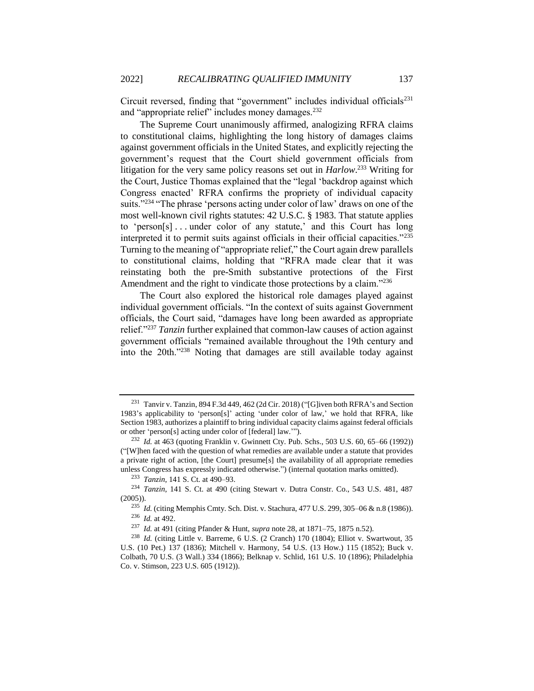Circuit reversed, finding that "government" includes individual officials $^{231}$ and "appropriate relief" includes money damages.<sup>232</sup>

The Supreme Court unanimously affirmed, analogizing RFRA claims to constitutional claims, highlighting the long history of damages claims against government officials in the United States, and explicitly rejecting the government's request that the Court shield government officials from litigation for the very same policy reasons set out in *Harlow*. <sup>233</sup> Writing for the Court, Justice Thomas explained that the "legal 'backdrop against which Congress enacted' RFRA confirms the propriety of individual capacity suits."<sup>234</sup> "The phrase 'persons acting under color of law' draws on one of the most well-known civil rights statutes: 42 U.S.C. § 1983. That statute applies to 'person[s] . . . under color of any statute,' and this Court has long interpreted it to permit suits against officials in their official capacities."<sup>235</sup> Turning to the meaning of "appropriate relief," the Court again drew parallels to constitutional claims, holding that "RFRA made clear that it was reinstating both the pre-Smith substantive protections of the First Amendment and the right to vindicate those protections by a claim."<sup>236</sup>

The Court also explored the historical role damages played against individual government officials. "In the context of suits against Government officials, the Court said, "damages have long been awarded as appropriate relief."<sup>237</sup> *Tanzin* further explained that common-law causes of action against government officials "remained available throughout the 19th century and into the 20th."<sup>238</sup> Noting that damages are still available today against

<sup>231</sup> Tanvir v. Tanzin, 894 F.3d 449, 462 (2d Cir. 2018) ("[G]iven both RFRA's and Section 1983's applicability to 'person[s]' acting 'under color of law,' we hold that RFRA, like Section 1983, authorizes a plaintiff to bring individual capacity claims against federal officials or other 'person[s] acting under color of [federal] law.'").

<sup>232</sup> *Id.* at 463 (quoting Franklin v. Gwinnett Cty. Pub. Schs., 503 U.S. 60, 65–66 (1992)) ("[W]hen faced with the question of what remedies are available under a statute that provides a private right of action, [the Court] presume[s] the availability of all appropriate remedies unless Congress has expressly indicated otherwise.") (internal quotation marks omitted).

<sup>233</sup> *Tanzin*, 141 S. Ct. at 490–93.

<sup>234</sup> *Tanzin*, 141 S. Ct. at 490 (citing Stewart v. Dutra Constr. Co., 543 U.S. 481, 487  $(2005)$ ).

<sup>235</sup> *Id.* (citing Memphis Cmty. Sch. Dist. v. Stachura, 477 U.S. 299, 305–06 & n.8 (1986)). <sup>236</sup> *Id.* at 492.

<sup>237</sup> *Id.* at 491 (citing Pfander & Hunt, *supra* note [28,](#page-6-0) at 1871–75, 1875 n.52).

<sup>238</sup> *Id.* (citing Little v. Barreme, 6 U.S. (2 Cranch) 170 (1804); Elliot v. Swartwout, 35 U.S. (10 Pet.) 137 (1836); Mitchell v. Harmony, 54 U.S. (13 How.) 115 (1852); Buck v. Colbath, 70 U.S. (3 Wall.) 334 (1866); Belknap v. Schlid, 161 U.S. 10 (1896); Philadelphia Co. v. Stimson, 223 U.S. 605 (1912)).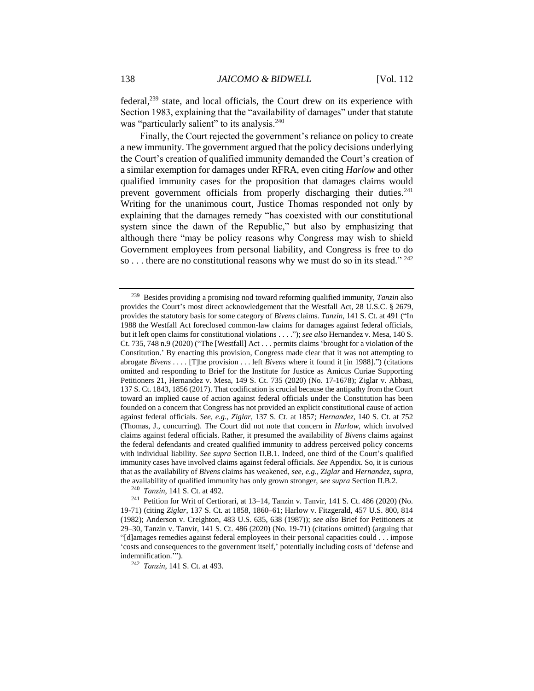federal,<sup>239</sup> state, and local officials, the Court drew on its experience with Section 1983, explaining that the "availability of damages" under that statute was "particularly salient" to its analysis.<sup>240</sup>

Finally, the Court rejected the government's reliance on policy to create a new immunity. The government argued that the policy decisions underlying the Court's creation of qualified immunity demanded the Court's creation of a similar exemption for damages under RFRA, even citing *Harlow* and other qualified immunity cases for the proposition that damages claims would prevent government officials from properly discharging their duties.<sup>241</sup> Writing for the unanimous court, Justice Thomas responded not only by explaining that the damages remedy "has coexisted with our constitutional system since the dawn of the Republic," but also by emphasizing that although there "may be policy reasons why Congress may wish to shield Government employees from personal liability, and Congress is free to do so . . . there are no constitutional reasons why we must do so in its stead." <sup>242</sup>

<sup>240</sup> *Tanzin*, 141 S. Ct. at 492.

<sup>242</sup> *Tanzin*, 141 S. Ct. at 493.

<sup>239</sup> Besides providing a promising nod toward reforming qualified immunity, *Tanzin* also provides the Court's most direct acknowledgement that the Westfall Act, 28 U.S.C. § 2679, provides the statutory basis for some category of *Bivens* claims. *Tanzin*, 141 S. Ct. at 491 ("In 1988 the Westfall Act foreclosed common-law claims for damages against federal officials, but it left open claims for constitutional violations . . . ."); *see also* Hernandez v. Mesa, 140 S. Ct. 735, 748 n.9 (2020) ("The [Westfall] Act . . . permits claims 'brought for a violation of the Constitution.' By enacting this provision, Congress made clear that it was not attempting to abrogate *Bivens* . . . . [T]he provision . . . left *Bivens* where it found it [in 1988].") (citations omitted and responding to Brief for the Institute for Justice as Amicus Curiae Supporting Petitioners 21, Hernandez v. Mesa, 149 S. Ct. 735 (2020) (No. 17-1678); Ziglar v. Abbasi, 137 S. Ct. 1843, 1856 (2017). That codification is crucial because the antipathy from the Court toward an implied cause of action against federal officials under the Constitution has been founded on a concern that Congress has not provided an explicit constitutional cause of action against federal officials. *See, e.g.*, *Ziglar*, 137 S. Ct. at 1857; *Hernandez*, 140 S. Ct. at 752 (Thomas, J., concurring). The Court did not note that concern in *Harlow*, which involved claims against federal officials. Rather, it presumed the availability of *Bivens* claims against the federal defendants and created qualified immunity to address perceived policy concerns with individual liability. *See supra* Section II.B.1. Indeed, one third of the Court's qualified immunity cases have involved claims against federal officials. *See* Appendix. So, it is curious that as the availability of *Bivens* claims has weakened, *see, e.g., Ziglar* and *Hernandez, supra*, the availability of qualified immunity has only grown stronger, *see supra* Section II.B.2.

<sup>241</sup> Petition for Writ of Certiorari, at 13–14, Tanzin v. Tanvir, 141 S. Ct. 486 (2020) (No. 19-71) (citing *Ziglar*, 137 S. Ct. at 1858, 1860–61; Harlow v. Fitzgerald, 457 U.S. 800, 814 (1982); Anderson v. Creighton, 483 U.S. 635, 638 (1987)); *see also* Brief for Petitioners at 29–30, Tanzin v. Tanvir, 141 S. Ct. 486 (2020) (No. 19-71) (citations omitted) (arguing that "[d]amages remedies against federal employees in their personal capacities could . . . impose 'costs and consequences to the government itself,' potentially including costs of 'defense and indemnification.'").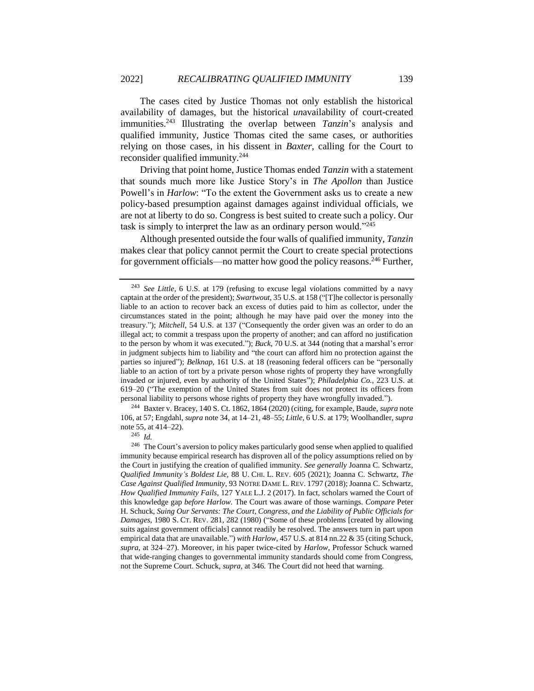The cases cited by Justice Thomas not only establish the historical availability of damages, but the historical *un*availability of court-created immunities.<sup>243</sup> Illustrating the overlap between *Tanzin*'s analysis and qualified immunity, Justice Thomas cited the same cases, or authorities relying on those cases, in his dissent in *Baxter*, calling for the Court to reconsider qualified immunity.<sup>244</sup>

Driving that point home, Justice Thomas ended *Tanzin* with a statement that sounds much more like Justice Story's in *The Apollon* than Justice Powell's in *Harlow*: "To the extent the Government asks us to create a new policy-based presumption against damages against individual officials, we are not at liberty to do so. Congress is best suited to create such a policy. Our task is simply to interpret the law as an ordinary person would."<sup>245</sup>

Although presented outside the four walls of qualified immunity, *Tanzin* makes clear that policy cannot permit the Court to create special protections for government officials—no matter how good the policy reasons.<sup>246</sup> Further,

<sup>244</sup> Baxter v. Bracey, 140 S. Ct. 1862, 1864 (2020) (citing, for example, Baude, *supra* note [106,](#page-17-0) at 57; Engdahl, *supra* not[e 34,](#page-7-0) at 14–21, 48–55; *Little*, 6 U.S. at 179; Woolhandler, *supra*  note [55,](#page-9-1) at 414–22).

<sup>245</sup> *Id.*

<sup>243</sup> *See Little*, 6 U.S. at 179 (refusing to excuse legal violations committed by a navy captain at the order of the president); *Swartwout*, 35 U.S. at 158 ("[T]he collector is personally liable to an action to recover back an excess of duties paid to him as collector, under the circumstances stated in the point; although he may have paid over the money into the treasury."); *Mitchell*, 54 U.S. at 137 ("Consequently the order given was an order to do an illegal act; to commit a trespass upon the property of another; and can afford no justification to the person by whom it was executed."); *Buck*, 70 U.S. at 344 (noting that a marshal's error in judgment subjects him to liability and "the court can afford him no protection against the parties so injured"); *Belknap*, 161 U.S. at 18 (reasoning federal officers can be "personally liable to an action of tort by a private person whose rights of property they have wrongfully invaded or injured, even by authority of the United States"); *Philadelphia Co.*, 223 U.S. at 619–20 ("The exemption of the United States from suit does not protect its officers from personal liability to persons whose rights of property they have wrongfully invaded.").

<sup>&</sup>lt;sup>246</sup> The Court's aversion to policy makes particularly good sense when applied to qualified immunity because empirical research has disproven all of the policy assumptions relied on by the Court in justifying the creation of qualified immunity. *See generally* Joanna C. Schwartz, *Qualified Immunity's Boldest Lie*, 88 U. CHI. L. REV. 605 (2021); Joanna C. Schwartz, *The Case Against Qualified Immunity*, 93 NOTRE DAME L. REV. 1797 (2018);Joanna C. Schwartz, *How Qualified Immunity Fails*, 127 YALE L.J. 2 (2017). In fact, scholars warned the Court of this knowledge gap *before Harlow*. The Court was aware of those warnings. *Compare* Peter H. Schuck, *Suing Our Servants: The Court, Congress, and the Liability of Public Officials for Damages*, 1980 S. CT. REV. 281, 282 (1980) ("Some of these problems [created by allowing suits against government officials] cannot readily be resolved. The answers turn in part upon empirical data that are unavailable.") *with Harlow*, 457 U.S. at 814 nn.22 & 35 (citing Schuck*, supra*, at 324–27). Moreover, in his paper twice-cited by *Harlow*, Professor Schuck warned that wide-ranging changes to governmental immunity standards should come from Congress, not the Supreme Court. Schuck, *supra*, at 346. The Court did not heed that warning.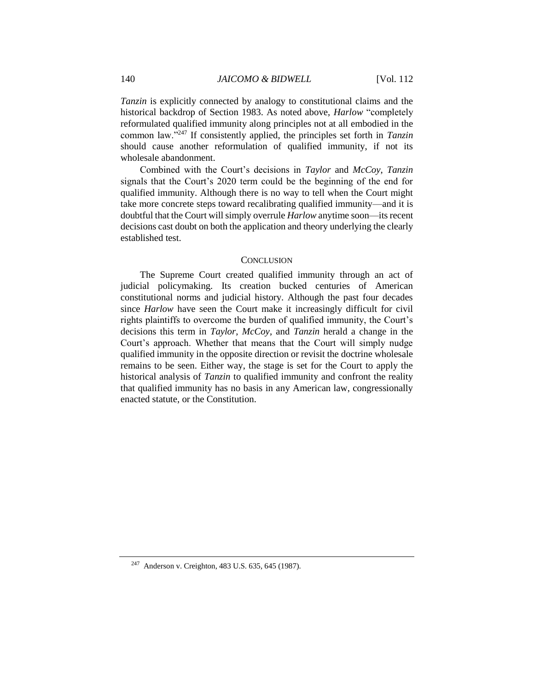*Tanzin* is explicitly connected by analogy to constitutional claims and the historical backdrop of Section 1983. As noted above, *Harlow* "completely reformulated qualified immunity along principles not at all embodied in the common law."<sup>247</sup> If consistently applied, the principles set forth in *Tanzin* should cause another reformulation of qualified immunity, if not its wholesale abandonment.

Combined with the Court's decisions in *Taylor* and *McCoy*, *Tanzin* signals that the Court's 2020 term could be the beginning of the end for qualified immunity. Although there is no way to tell when the Court might take more concrete steps toward recalibrating qualified immunity—and it is doubtful that the Court will simply overrule *Harlow* anytime soon—its recent decisions cast doubt on both the application and theory underlying the clearly established test.

#### **CONCLUSION**

The Supreme Court created qualified immunity through an act of judicial policymaking. Its creation bucked centuries of American constitutional norms and judicial history. Although the past four decades since *Harlow* have seen the Court make it increasingly difficult for civil rights plaintiffs to overcome the burden of qualified immunity, the Court's decisions this term in *Taylor*, *McCoy*, and *Tanzin* herald a change in the Court's approach. Whether that means that the Court will simply nudge qualified immunity in the opposite direction or revisit the doctrine wholesale remains to be seen. Either way, the stage is set for the Court to apply the historical analysis of *Tanzin* to qualified immunity and confront the reality that qualified immunity has no basis in any American law, congressionally enacted statute, or the Constitution.

<sup>247</sup> Anderson v. Creighton, 483 U.S. 635, 645 (1987).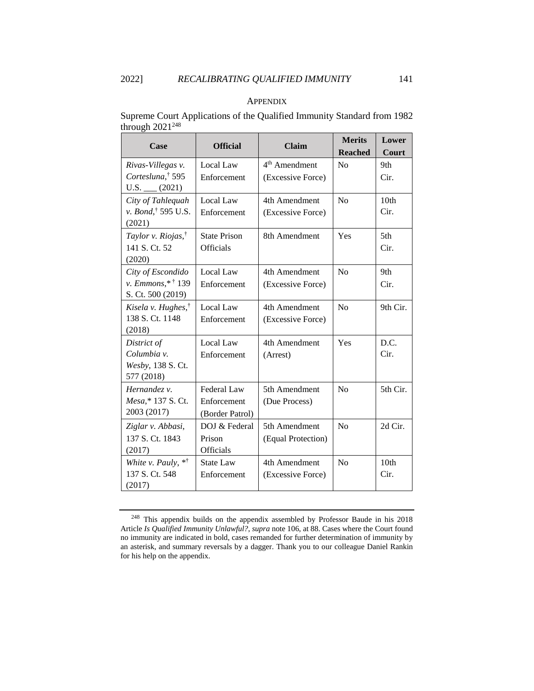#### **APPENDIX**

Supreme Court Applications of the Qualified Immunity Standard from 1982 through  $2021^{248}$ 

| Case                                                                   | <b>Official</b>                                      | <b>Claim</b>                                   | <b>Merits</b><br><b>Reached</b> | Lower<br>Court           |
|------------------------------------------------------------------------|------------------------------------------------------|------------------------------------------------|---------------------------------|--------------------------|
| Rivas-Villegas v.<br>Cortesluna, <sup>†</sup> 595<br>$U.S.$ (2021)     | Local Law<br>Enforcement                             | 4 <sup>th</sup> Amendment<br>(Excessive Force) | No                              | 9th<br>Cir.              |
| City of Tahlequah<br>v. Bond, <sup>†</sup> 595 U.S.<br>(2021)          | Local Law<br>Enforcement                             | 4th Amendment<br>(Excessive Force)             | No                              | 10 <sub>th</sub><br>Cir. |
| Taylor v. Riojas, <sup>†</sup><br>141 S. Ct. 52<br>(2020)              | <b>State Prison</b><br>Officials                     | 8th Amendment                                  | Yes                             | 5th<br>Cir.              |
| City of Escondido<br>v. Emmons,* <sup>†</sup> 139<br>S. Ct. 500 (2019) | Local Law<br>Enforcement                             | 4th Amendment<br>(Excessive Force)             | N <sub>o</sub>                  | 9th<br>Cir.              |
| Kisela v. Hughes, <sup>†</sup><br>138 S. Ct. 1148<br>(2018)            | Local Law<br>Enforcement                             | 4th Amendment<br>(Excessive Force)             | No                              | 9th Cir.                 |
| District of<br>Columbia v.<br>Wesby, 138 S. Ct.<br>577 (2018)          | Local Law<br>Enforcement                             | 4th Amendment<br>(Arrest)                      | Yes                             | D.C.<br>Cir.             |
| Hernandez v.<br>Mesa,* 137 S. Ct.<br>2003 (2017)                       | <b>Federal Law</b><br>Enforcement<br>(Border Patrol) | 5th Amendment<br>(Due Process)                 | No                              | 5th Cir.                 |
| Ziglar v. Abbasi,<br>137 S. Ct. 1843<br>(2017)                         | DOJ & Federal<br>Prison<br>Officials                 | 5th Amendment<br>(Equal Protection)            | N <sub>o</sub>                  | 2d Cir.                  |
| White v. Pauly, **<br>137 S. Ct. 548<br>(2017)                         | <b>State Law</b><br>Enforcement                      | 4th Amendment<br>(Excessive Force)             | No                              | 10 <sub>th</sub><br>Cir. |

<sup>248</sup> This appendix builds on the appendix assembled by Professor Baude in his 2018 Article *Is Qualified Immunity Unlawful?*, *supra* not[e 106,](#page-17-0) at 88. Cases where the Court found no immunity are indicated in bold, cases remanded for further determination of immunity by an asterisk, and summary reversals by a dagger. Thank you to our colleague Daniel Rankin for his help on the appendix.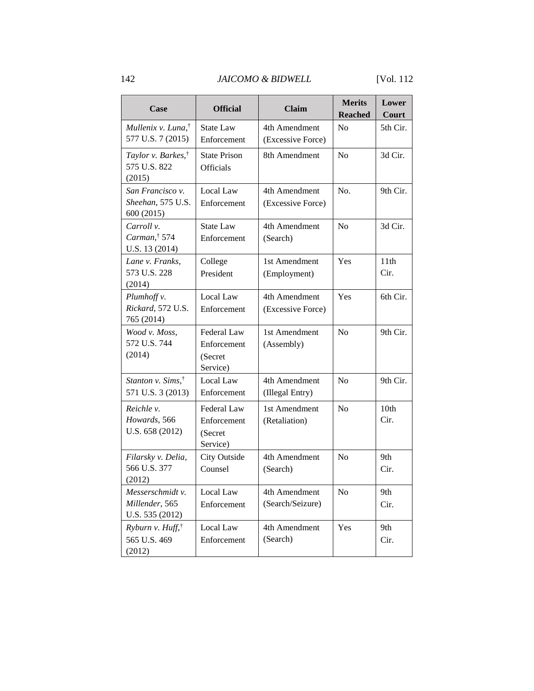### 142 *JAICOMO & BIDWELL* [Vol. 112

| Case                                                     | <b>Official</b>                                   | <b>Claim</b>                       | <b>Merits</b><br><b>Reached</b> | Lower<br>Court           |
|----------------------------------------------------------|---------------------------------------------------|------------------------------------|---------------------------------|--------------------------|
| Mullenix v. Luna, <sup>†</sup><br>577 U.S. 7 (2015)      | <b>State Law</b><br>Enforcement                   | 4th Amendment<br>(Excessive Force) | N <sub>o</sub>                  | 5th Cir.                 |
| Taylor v. Barkes, <sup>†</sup><br>575 U.S. 822<br>(2015) | <b>State Prison</b><br>Officials                  | 8th Amendment                      | N <sub>o</sub>                  | 3d Cir.                  |
| San Francisco v.<br>Sheehan, 575 U.S.<br>600 (2015)      | Local Law<br>Enforcement                          | 4th Amendment<br>(Excessive Force) | No.                             | 9th Cir.                 |
| Carroll v.<br>Carman, $\dagger$ 574<br>U.S. 13 (2014)    | <b>State Law</b><br>Enforcement                   | 4th Amendment<br>(Search)          | N <sub>o</sub>                  | 3d Cir.                  |
| Lane v. Franks,<br>573 U.S. 228<br>(2014)                | College<br>President                              | 1st Amendment<br>(Employment)      | Yes                             | 11th<br>Cir.             |
| Plumhoff v.<br>Rickard, 572 U.S.<br>765 (2014)           | Local Law<br>Enforcement                          | 4th Amendment<br>(Excessive Force) | Yes                             | 6th Cir.                 |
| Wood v. Moss,<br>572 U.S. 744<br>(2014)                  | Federal Law<br>Enforcement<br>(Secret<br>Service) | 1st Amendment<br>(Assembly)        | N <sub>o</sub>                  | 9th Cir.                 |
| Stanton v. Sims, <sup>†</sup><br>571 U.S. 3 (2013)       | Local Law<br>Enforcement                          | 4th Amendment<br>(Illegal Entry)   | N <sub>o</sub>                  | 9th Cir.                 |
| Reichle v.<br>Howards, 566<br>U.S. 658 (2012)            | Federal Law<br>Enforcement<br>(Secret<br>Service) | 1st Amendment<br>(Retaliation)     | N <sub>0</sub>                  | 10 <sub>th</sub><br>Cir. |
| Filarsky v. Delia,<br>566 U.S. 377<br>(2012)             | <b>City Outside</b><br>Counsel                    | 4th Amendment<br>(Search)          | N <sub>0</sub>                  | 9th<br>Cir.              |
| Messerschmidt v.<br>Millender, 565<br>U.S. 535 (2012)    | Local Law<br>Enforcement                          | 4th Amendment<br>(Search/Seizure)  | No                              | 9th<br>Cir.              |
| Ryburn v. $Huff,^{\dagger}$<br>565 U.S. 469<br>(2012)    | Local Law<br>Enforcement                          | 4th Amendment<br>(Search)          | Yes                             | 9th<br>Cir.              |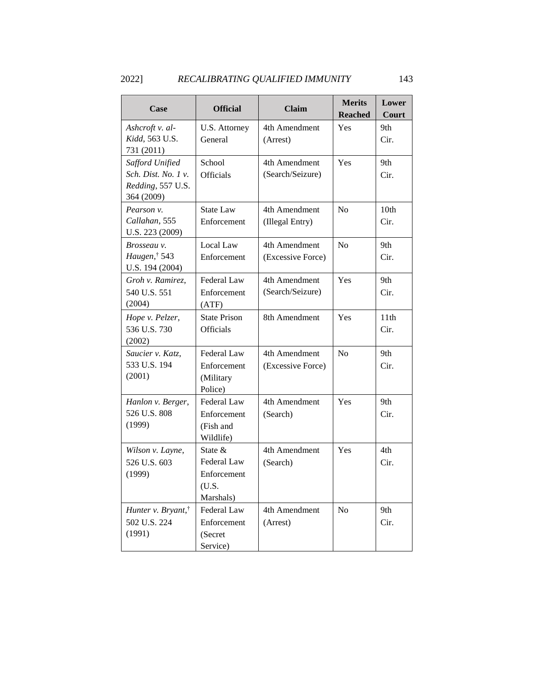## 2022] *RECALIBRATING QUALIFIED IMMUNITY* 143

| Case                                                                      | <b>Official</b>                                               | <b>Claim</b>                       | <b>Merits</b><br><b>Reached</b> | Lower<br>Court           |
|---------------------------------------------------------------------------|---------------------------------------------------------------|------------------------------------|---------------------------------|--------------------------|
| Ashcroft v. al-<br>Kidd, 563 U.S.<br>731 (2011)                           | U.S. Attorney<br>General                                      | 4th Amendment<br>(Arrest)          | Yes                             | 9th<br>Cir.              |
| Safford Unified<br>Sch. Dist. No. 1 v.<br>Redding, 557 U.S.<br>364 (2009) | School<br><b>Officials</b>                                    | 4th Amendment<br>(Search/Seizure)  | Yes                             | 9th<br>Cir.              |
| Pearson v.<br>Callahan, 555<br>U.S. 223 (2009)                            | <b>State Law</b><br>Enforcement                               | 4th Amendment<br>(Illegal Entry)   | No                              | 10 <sub>th</sub><br>Cir. |
| Brosseau v.<br>Haugen, $\dagger$ 543<br>U.S. 194 (2004)                   | Local Law<br>Enforcement                                      | 4th Amendment<br>(Excessive Force) | No                              | 9th<br>Cir.              |
| Groh v. Ramirez,<br>540 U.S. 551<br>(2004)                                | Federal Law<br>Enforcement<br>(ATF)                           | 4th Amendment<br>(Search/Seizure)  | Yes                             | 9th<br>Cir.              |
| Hope v. Pelzer,<br>536 U.S. 730<br>(2002)                                 | <b>State Prison</b><br><b>Officials</b>                       | 8th Amendment                      | Yes                             | 11th<br>Cir.             |
| Saucier v. Katz,<br>533 U.S. 194<br>(2001)                                | Federal Law<br>Enforcement<br>(Military<br>Police)            | 4th Amendment<br>(Excessive Force) | N <sub>0</sub>                  | 9th<br>Cir.              |
| Hanlon v. Berger,<br>526 U.S. 808<br>(1999)                               | Federal Law<br>Enforcement<br>(Fish and<br>Wildlife)          | 4th Amendment<br>(Search)          | Yes                             | 9th.<br>Cir.             |
| Wilson v. Layne,<br>526 U.S. 603<br>(1999)                                | State $&$<br>Federal Law<br>Enforcement<br>(U.S.<br>Marshals) | 4th Amendment<br>(Search)          | <b>Yes</b>                      | 4th<br>Cir.              |
| Hunter v. Bryant, <sup>†</sup><br>502 U.S. 224<br>(1991)                  | Federal Law<br>Enforcement<br>(Secret<br>Service)             | 4th Amendment<br>(Arrest)          | N <sub>0</sub>                  | 9th<br>Cir.              |